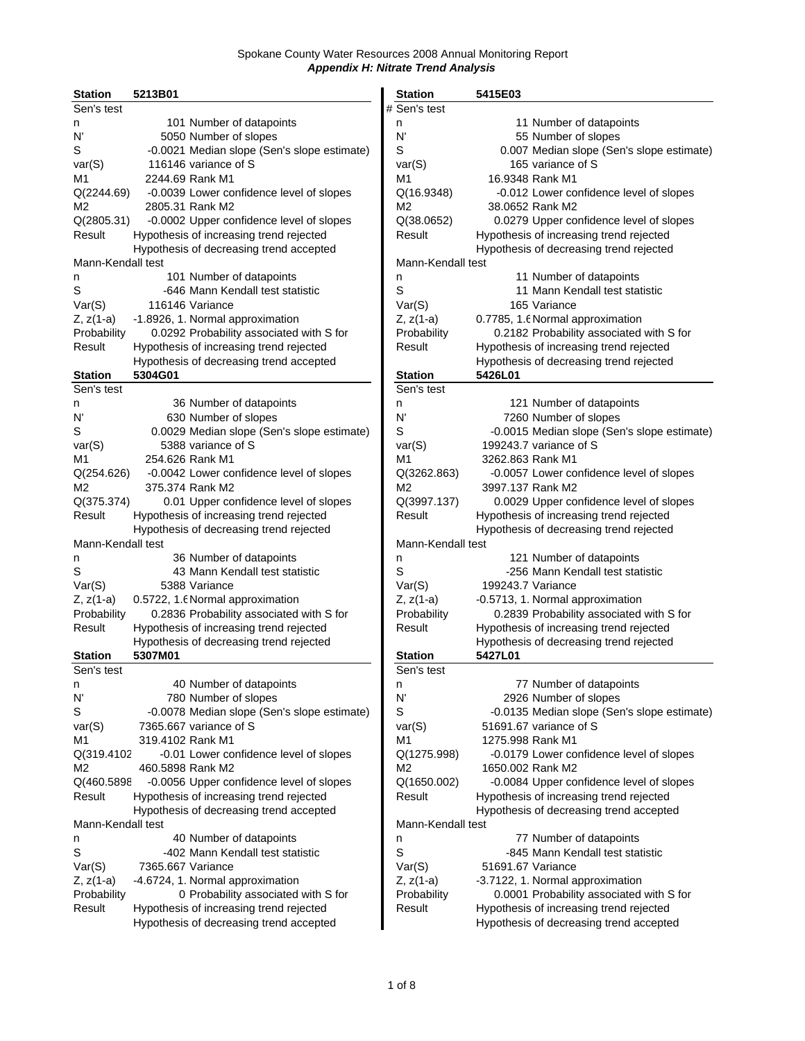| 5213B01<br><b>Station</b>                               | <b>Station</b>    | 5415E03                                     |
|---------------------------------------------------------|-------------------|---------------------------------------------|
| Sen's test                                              | # Sen's test      |                                             |
| 101 Number of datapoints<br>n                           | n                 | 11 Number of datapoints                     |
| N'<br>5050 Number of slopes                             | N'                | 55 Number of slopes                         |
| S<br>-0.0021 Median slope (Sen's slope estimate)        | S                 | 0.007 Median slope (Sen's slope estimate)   |
| 116146 variance of S<br>var(S)                          | var(S)            | 165 variance of S                           |
| 2244.69 Rank M1<br>M1                                   | M1                | 16.9348 Rank M1                             |
| Q(2244.69)<br>-0.0039 Lower confidence level of slopes  | Q(16.9348)        | -0.012 Lower confidence level of slopes     |
|                                                         | M2                | 38.0652 Rank M2                             |
| M2<br>2805.31 Rank M2                                   |                   |                                             |
| Q(2805.31)<br>-0.0002 Upper confidence level of slopes  | Q(38.0652)        | 0.0279 Upper confidence level of slopes     |
| Hypothesis of increasing trend rejected<br>Result       | Result            | Hypothesis of increasing trend rejected     |
| Hypothesis of decreasing trend accepted                 |                   | Hypothesis of decreasing trend rejected     |
| Mann-Kendall test                                       | Mann-Kendall test |                                             |
| 101 Number of datapoints<br>n                           | n                 | 11 Number of datapoints                     |
| S<br>-646 Mann Kendall test statistic                   | S                 | 11 Mann Kendall test statistic              |
| Var(S)<br>116146 Variance                               | Var(S)            | 165 Variance                                |
| -1.8926, 1. Normal approximation<br>$Z, z(1-a)$         | $Z, z(1-a)$       | 0.7785, 1.6 Normal approximation            |
| Probability<br>0.0292 Probability associated with S for | Probability       | 0.2182 Probability associated with S for    |
| Hypothesis of increasing trend rejected<br>Result       | Result            | Hypothesis of increasing trend rejected     |
| Hypothesis of decreasing trend accepted                 |                   | Hypothesis of decreasing trend rejected     |
| <b>Station</b><br>5304G01                               | <b>Station</b>    | 5426L01                                     |
| Sen's test                                              | Sen's test        |                                             |
| 36 Number of datapoints                                 | n                 | 121 Number of datapoints                    |
| n                                                       |                   |                                             |
| 630 Number of slopes<br>N'                              | N'                | 7260 Number of slopes                       |
| S<br>0.0029 Median slope (Sen's slope estimate)         | S                 | -0.0015 Median slope (Sen's slope estimate) |
| 5388 variance of S<br>var(S)                            | var(S)            | 199243.7 variance of S                      |
| 254.626 Rank M1<br>M1                                   | M1                | 3262.863 Rank M1                            |
| Q(254.626)<br>-0.0042 Lower confidence level of slopes  | Q(3262.863)       | -0.0057 Lower confidence level of slopes    |
| M2<br>375.374 Rank M2                                   | M2                | 3997.137 Rank M2                            |
| 0.01 Upper confidence level of slopes<br>Q(375.374)     | Q(3997.137)       | 0.0029 Upper confidence level of slopes     |
| Result<br>Hypothesis of increasing trend rejected       | Result            | Hypothesis of increasing trend rejected     |
| Hypothesis of decreasing trend rejected                 |                   | Hypothesis of decreasing trend rejected     |
| Mann-Kendall test                                       | Mann-Kendall test |                                             |
| 36 Number of datapoints<br>n                            | n                 | 121 Number of datapoints                    |
| S<br>43 Mann Kendall test statistic                     | S                 | -256 Mann Kendall test statistic            |
| Var(S)<br>5388 Variance                                 | Var(S)            | 199243.7 Variance                           |
| $Z, z(1-a)$<br>0.5722, 1.6 Normal approximation         | $Z, z(1-a)$       | -0.5713, 1. Normal approximation            |
| Probability<br>0.2836 Probability associated with S for | Probability       | 0.2839 Probability associated with S for    |
| Hypothesis of increasing trend rejected<br>Result       | Result            | Hypothesis of increasing trend rejected     |
|                                                         |                   |                                             |
| Hypothesis of decreasing trend rejected                 |                   | Hypothesis of decreasing trend rejected     |
| 5307M01<br><b>Station</b>                               | <b>Station</b>    | 5427L01                                     |
| Sen's test                                              | Sen's test        |                                             |
| 40 Number of datapoints<br>n                            | n                 | 77 Number of datapoints                     |
| N'<br>780 Number of slopes                              | N'                | 2926 Number of slopes                       |
| S<br>-0.0078 Median slope (Sen's slope estimate)        | S                 | -0.0135 Median slope (Sen's slope estimate) |
| var(S)<br>7365.667 variance of S                        | var(S)            | 51691.67 variance of S                      |
| 319.4102 Rank M1<br>M1                                  | M1                | 1275.998 Rank M1                            |
| -0.01 Lower confidence level of slopes<br>Q(319.4102    | Q(1275.998)       | -0.0179 Lower confidence level of slopes    |
| M <sub>2</sub><br>460.5898 Rank M2                      | М2                | 1650.002 Rank M2                            |
| Q(460.5898<br>-0.0056 Upper confidence level of slopes  | Q(1650.002)       | -0.0084 Upper confidence level of slopes    |
| Result<br>Hypothesis of increasing trend rejected       | Result            | Hypothesis of increasing trend rejected     |
| Hypothesis of decreasing trend accepted                 |                   | Hypothesis of decreasing trend accepted     |
| Mann-Kendall test                                       | Mann-Kendall test |                                             |
| 40 Number of datapoints<br>n                            | n                 | 77 Number of datapoints                     |
| S<br>-402 Mann Kendall test statistic                   | S                 | -845 Mann Kendall test statistic            |
| Var(S)<br>7365.667 Variance                             | Var(S)            | 51691.67 Variance                           |
|                                                         |                   |                                             |
| -4.6724, 1. Normal approximation<br>$Z, z(1-a)$         | $Z, z(1-a)$       | -3.7122, 1. Normal approximation            |
| 0 Probability associated with S for<br>Probability      | Probability       | 0.0001 Probability associated with S for    |
| Hypothesis of increasing trend rejected<br>Result       | Result            | Hypothesis of increasing trend rejected     |
| Hypothesis of decreasing trend accepted                 |                   | Hypothesis of decreasing trend accepted     |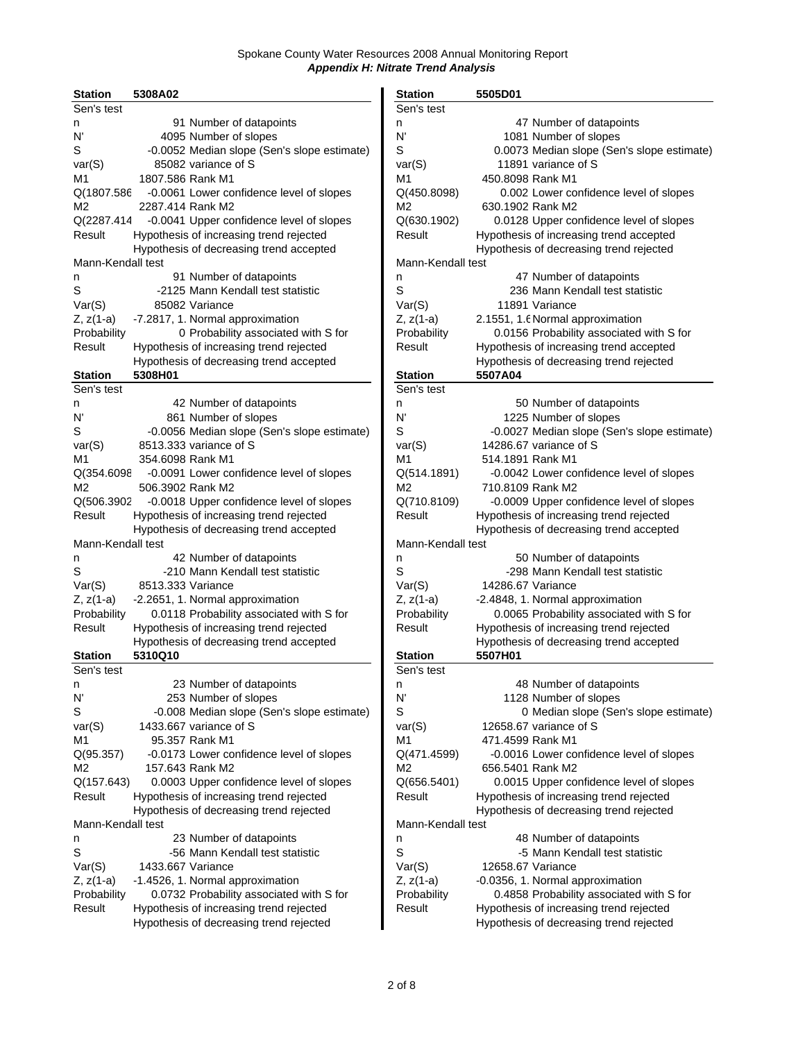| <b>Station</b>    | 5308A02           |                                             | <b>Station</b>    | 5505D01           |                                          |
|-------------------|-------------------|---------------------------------------------|-------------------|-------------------|------------------------------------------|
| Sen's test        |                   |                                             | Sen's test        |                   |                                          |
| n                 |                   | 91 Number of datapoints                     | n                 |                   | 47 Number of datapoints                  |
| N'                |                   | 4095 Number of slopes                       | N'                |                   | 1081 Number of slopes                    |
| S                 |                   | -0.0052 Median slope (Sen's slope estimate) | S                 |                   | 0.0073 Median slope (Sen's slope estim   |
| var(S)            |                   | 85082 variance of S                         | var(S)            |                   | 11891 variance of S                      |
| M1                | 1807.586 Rank M1  |                                             | M1                | 450.8098 Rank M1  |                                          |
| Q(1807.586        |                   | -0.0061 Lower confidence level of slopes    | Q(450.8098)       |                   | 0.002 Lower confidence level of slopes   |
| M2                | 2287.414 Rank M2  |                                             | M2                | 630.1902 Rank M2  |                                          |
| Q(2287.414        |                   | -0.0041 Upper confidence level of slopes    | Q(630.1902)       |                   | 0.0128 Upper confidence level of slopes  |
| Result            |                   |                                             | Result            |                   | Hypothesis of increasing trend accepted  |
|                   |                   | Hypothesis of increasing trend rejected     |                   |                   |                                          |
|                   |                   | Hypothesis of decreasing trend accepted     |                   |                   | Hypothesis of decreasing trend rejected  |
| Mann-Kendall test |                   |                                             | Mann-Kendall test |                   |                                          |
| n                 |                   | 91 Number of datapoints                     | n                 |                   | 47 Number of datapoints                  |
| S                 |                   | -2125 Mann Kendall test statistic           | $\mathsf S$       |                   | 236 Mann Kendall test statistic          |
| Var(S)            |                   | 85082 Variance                              | Var(S)            |                   | 11891 Variance                           |
| Z, z(1-a)         |                   | -7.2817, 1. Normal approximation            | Z, z(1-a)         |                   | 2.1551, 1.6 Normal approximation         |
| Probability       |                   | 0 Probability associated with S for         | Probability       |                   | 0.0156 Probability associated with S for |
| Result            |                   | Hypothesis of increasing trend rejected     | Result            |                   | Hypothesis of increasing trend accepted  |
|                   |                   | Hypothesis of decreasing trend accepted     |                   |                   | Hypothesis of decreasing trend rejected  |
| <b>Station</b>    | 5308H01           |                                             | <b>Station</b>    | 5507A04           |                                          |
| Sen's test        |                   |                                             | Sen's test        |                   |                                          |
| n                 |                   | 42 Number of datapoints                     | n                 |                   | 50 Number of datapoints                  |
| N'                |                   | 861 Number of slopes                        | N'                |                   | 1225 Number of slopes                    |
| S                 |                   | -0.0056 Median slope (Sen's slope estimate) | S                 |                   | -0.0027 Median slope (Sen's slope estim  |
| var(S)            |                   | 8513.333 variance of S                      | var(S)            |                   | 14286.67 variance of S                   |
| M1                | 354.6098 Rank M1  |                                             | M1                | 514.1891 Rank M1  |                                          |
|                   |                   |                                             |                   |                   |                                          |
| Q(354.6098        |                   | -0.0091 Lower confidence level of slopes    | Q(514.1891)       |                   | -0.0042 Lower confidence level of slopes |
| M2                | 506.3902 Rank M2  |                                             | M2                | 710.8109 Rank M2  |                                          |
| Q(506.3902        |                   | -0.0018 Upper confidence level of slopes    | Q(710.8109)       |                   | -0.0009 Upper confidence level of slopes |
| Result            |                   | Hypothesis of increasing trend rejected     | Result            |                   | Hypothesis of increasing trend rejected  |
|                   |                   | Hypothesis of decreasing trend accepted     |                   |                   | Hypothesis of decreasing trend accepted  |
| Mann-Kendall test |                   |                                             | Mann-Kendall test |                   |                                          |
| n                 |                   | 42 Number of datapoints                     | n                 |                   | 50 Number of datapoints                  |
| S                 |                   | -210 Mann Kendall test statistic            | S                 |                   | -298 Mann Kendall test statistic         |
| Var(S)            | 8513.333 Variance |                                             | Var(S)            | 14286.67 Variance |                                          |
| Z, z(1-a)         |                   | -2.2651, 1. Normal approximation            | $Z, z(1-a)$       |                   | -2.4848, 1. Normal approximation         |
| Probability       |                   | 0.0118 Probability associated with S for    | Probability       |                   | 0.0065 Probability associated with S for |
| Result            |                   | Hypothesis of increasing trend rejected     | Result            |                   | Hypothesis of increasing trend rejected  |
|                   |                   | Hypothesis of decreasing trend accepted     |                   |                   | Hypothesis of decreasing trend accepted  |
| <b>Station</b>    | 5310Q10           |                                             | <b>Station</b>    | 5507H01           |                                          |
| Sen's test        |                   |                                             | Sen's test        |                   |                                          |
| n                 |                   | 23 Number of datapoints                     | n                 |                   | 48 Number of datapoints                  |
| N'                |                   | 253 Number of slopes                        | N'                |                   | 1128 Number of slopes                    |
| S                 |                   | -0.008 Median slope (Sen's slope estimate)  | S                 |                   | 0 Median slope (Sen's slope estim        |
|                   |                   | 1433.667 variance of S                      |                   |                   | 12658.67 variance of S                   |
| var(S)            |                   |                                             | var(S)            | 471.4599 Rank M1  |                                          |
| M1                |                   | 95.357 Rank M1                              | M1                |                   |                                          |
| Q(95.357)         |                   | -0.0173 Lower confidence level of slopes    | Q(471.4599)       |                   | -0.0016 Lower confidence level of slopes |
| M <sub>2</sub>    |                   | 157.643 Rank M2                             | M2                | 656.5401 Rank M2  |                                          |
| Q(157.643)        |                   | 0.0003 Upper confidence level of slopes     | Q(656.5401)       |                   | 0.0015 Upper confidence level of slopes  |
| Result            |                   | Hypothesis of increasing trend rejected     | Result            |                   | Hypothesis of increasing trend rejected  |
|                   |                   | Hypothesis of decreasing trend rejected     |                   |                   | Hypothesis of decreasing trend rejected  |
| Mann-Kendall test |                   |                                             | Mann-Kendall test |                   |                                          |
| n                 |                   | 23 Number of datapoints                     | n                 |                   | 48 Number of datapoints                  |
| S                 |                   | -56 Mann Kendall test statistic             | S                 |                   | -5 Mann Kendall test statistic           |
| Var(S)            | 1433.667 Variance |                                             | Var(S)            | 12658.67 Variance |                                          |
| Z, z(1-a)         |                   | -1.4526, 1. Normal approximation            | $Z, z(1-a)$       |                   | -0.0356, 1. Normal approximation         |
| Probability       |                   | 0.0732 Probability associated with S for    | Probability       |                   | 0.4858 Probability associated with S for |
| Result            |                   | Hypothesis of increasing trend rejected     | Result            |                   | Hypothesis of increasing trend rejected  |
|                   |                   | Hypothesis of decreasing trend rejected     |                   |                   | Hypothesis of decreasing trend rejected  |
|                   |                   |                                             |                   |                   |                                          |

| Station           | 5308A02                                     | <b>Station</b>    | 5505D01                                     |
|-------------------|---------------------------------------------|-------------------|---------------------------------------------|
| Sen's test        |                                             | Sen's test        |                                             |
| n                 | 91 Number of datapoints                     | n                 | 47 Number of datapoints                     |
| N'                | 4095 Number of slopes                       | N'                | 1081 Number of slopes                       |
| S                 | -0.0052 Median slope (Sen's slope estimate) | S                 | 0.0073 Median slope (Sen's slope estimate)  |
| var(S)            | 85082 variance of S                         | var(S)            | 11891 variance of S                         |
| M1                | 1807.586 Rank M1                            | M1                | 450.8098 Rank M1                            |
| Q(1807.586        | -0.0061 Lower confidence level of slopes    | Q(450.8098)       | 0.002 Lower confidence level of slopes      |
| М2                | 2287.414 Rank M2                            | M2                | 630.1902 Rank M2                            |
| Q(2287.414        | -0.0041 Upper confidence level of slopes    | Q(630.1902)       | 0.0128 Upper confidence level of slopes     |
| Result            | Hypothesis of increasing trend rejected     | Result            | Hypothesis of increasing trend accepted     |
|                   |                                             |                   | Hypothesis of decreasing trend rejected     |
|                   | Hypothesis of decreasing trend accepted     |                   |                                             |
| Mann-Kendall test |                                             | Mann-Kendall test |                                             |
| n                 | 91 Number of datapoints                     | n                 | 47 Number of datapoints                     |
| S                 | -2125 Mann Kendall test statistic           | S                 | 236 Mann Kendall test statistic             |
| Var(S)            | 85082 Variance                              | Var(S)            | 11891 Variance                              |
| Z, z(1-a)         | -7.2817, 1. Normal approximation            | $Z, z(1-a)$       | 2.1551, 1.6 Normal approximation            |
| Probability       | 0 Probability associated with S for         | Probability       | 0.0156 Probability associated with S for    |
| Result            | Hypothesis of increasing trend rejected     | Result            | Hypothesis of increasing trend accepted     |
|                   | Hypothesis of decreasing trend accepted     |                   | Hypothesis of decreasing trend rejected     |
| <b>Station</b>    | 5308H01                                     | <b>Station</b>    | 5507A04                                     |
| Sen's test        |                                             | Sen's test        |                                             |
| n                 | 42 Number of datapoints                     | n                 | 50 Number of datapoints                     |
| N'                | 861 Number of slopes                        | N'                | 1225 Number of slopes                       |
| S                 | -0.0056 Median slope (Sen's slope estimate) | S                 | -0.0027 Median slope (Sen's slope estimate) |
| var(S)            | 8513.333 variance of S                      | var(S)            | 14286.67 variance of S                      |
| M1                | 354.6098 Rank M1                            | M1                | 514.1891 Rank M1                            |
| Q(354.6098        | -0.0091 Lower confidence level of slopes    | Q(514.1891)       | -0.0042 Lower confidence level of slopes    |
| М2                | 506.3902 Rank M2                            | M <sub>2</sub>    | 710.8109 Rank M2                            |
| Q(506.3902        | -0.0018 Upper confidence level of slopes    | Q(710.8109)       | -0.0009 Upper confidence level of slopes    |
| Result            | Hypothesis of increasing trend rejected     | Result            | Hypothesis of increasing trend rejected     |
|                   |                                             |                   |                                             |
|                   | Hypothesis of decreasing trend accepted     |                   | Hypothesis of decreasing trend accepted     |
| Mann-Kendall test |                                             | Mann-Kendall test |                                             |
| n                 | 42 Number of datapoints                     | n                 | 50 Number of datapoints                     |
| S                 | -210 Mann Kendall test statistic            | S                 | -298 Mann Kendall test statistic            |
| Var(S)            | 8513.333 Variance                           | Var(S)            | 14286.67 Variance                           |
| Z, z(1-a)         | -2.2651, 1. Normal approximation            | $Z, z(1-a)$       | -2.4848, 1. Normal approximation            |
| Probability       | 0.0118 Probability associated with S for    | Probability       | 0.0065 Probability associated with S for    |
| Result            | Hypothesis of increasing trend rejected     | Result            | Hypothesis of increasing trend rejected     |
|                   | Hypothesis of decreasing trend accepted     |                   | Hypothesis of decreasing trend accepted     |
| Station           | 5310Q10                                     | <b>Station</b>    | 5507H01                                     |
| Sen's test        |                                             | Sen's test        |                                             |
| n                 | 23 Number of datapoints                     | n                 | 48 Number of datapoints                     |
| N'                | 253 Number of slopes                        | N'                | 1128 Number of slopes                       |
| S                 | -0.008 Median slope (Sen's slope estimate)  | S                 | 0 Median slope (Sen's slope estimate)       |
| var(S)            | 1433.667 variance of S                      | var(S)            | 12658.67 variance of S                      |
| M1                | 95.357 Rank M1                              | M1                | 471.4599 Rank M1                            |
| Q(95.357)         | -0.0173 Lower confidence level of slopes    | Q(471.4599)       | -0.0016 Lower confidence level of slopes    |
| М2                | 157.643 Rank M2                             | М2                | 656.5401 Rank M2                            |
| Q(157.643)        |                                             |                   | 0.0015 Upper confidence level of slopes     |
|                   | 0.0003 Upper confidence level of slopes     | Q(656.5401)       |                                             |
| Result            | Hypothesis of increasing trend rejected     | Result            | Hypothesis of increasing trend rejected     |
|                   | Hypothesis of decreasing trend rejected     |                   | Hypothesis of decreasing trend rejected     |
| Mann-Kendall test |                                             | Mann-Kendall test |                                             |
| n                 | 23 Number of datapoints                     | n                 | 48 Number of datapoints                     |
| S                 | -56 Mann Kendall test statistic             | S                 | -5 Mann Kendall test statistic              |
| Var(S)            | 1433.667 Variance                           | Var(S)            | 12658.67 Variance                           |
| Z, z(1-a)         | -1.4526, 1. Normal approximation            | $Z, z(1-a)$       | -0.0356, 1. Normal approximation            |
| Probability       | 0.0732 Probability associated with S for    | Probability       | 0.4858 Probability associated with S for    |
| Result            | Hypothesis of increasing trend rejected     | Result            | Hypothesis of increasing trend rejected     |
|                   | Hypothesis of decreasing trend rejected     |                   | Hypothesis of decreasing trend rejected     |
|                   |                                             |                   |                                             |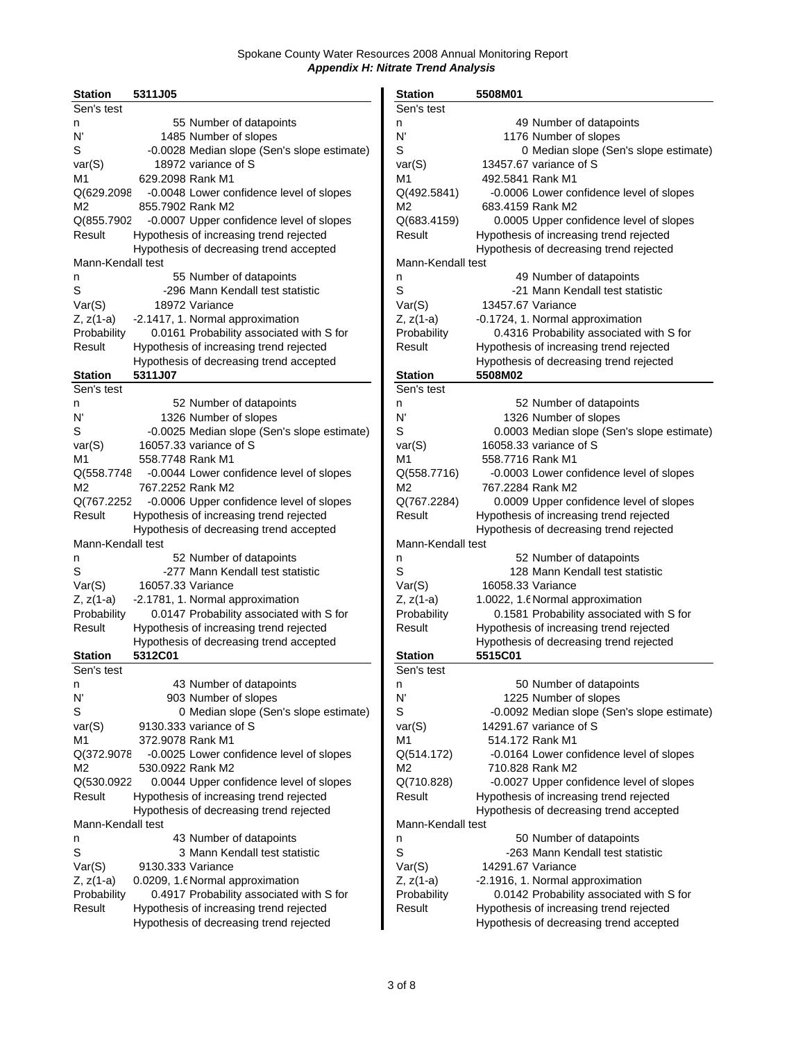| <b>Station</b>    | 5311J05           |                                             | <b>Station</b>    | 5508M01                                  |
|-------------------|-------------------|---------------------------------------------|-------------------|------------------------------------------|
| Sen's test        |                   |                                             | Sen's test        |                                          |
| n                 |                   | 55 Number of datapoints                     | n                 | 49 Number of datapoints                  |
| N'                |                   | 1485 Number of slopes                       | N'                | 1176 Number of slopes                    |
| S                 |                   | -0.0028 Median slope (Sen's slope estimate) | S                 | 0 Median slope (Sen's slope estim        |
| var(S)            |                   | 18972 variance of S                         | var(S)            | 13457.67 variance of S                   |
| M1                | 629.2098 Rank M1  |                                             | M <sub>1</sub>    | 492.5841 Rank M1                         |
| Q(629.2098        |                   | -0.0048 Lower confidence level of slopes    | Q(492.5841)       | -0.0006 Lower confidence level of slope: |
| M2                | 855.7902 Rank M2  |                                             | M2                | 683.4159 Rank M2                         |
| Q(855.7902        |                   | -0.0007 Upper confidence level of slopes    | Q(683.4159)       | 0.0005 Upper confidence level of slopes  |
| Result            |                   | Hypothesis of increasing trend rejected     | Result            | Hypothesis of increasing trend rejected  |
|                   |                   | Hypothesis of decreasing trend accepted     |                   | Hypothesis of decreasing trend rejected  |
| Mann-Kendall test |                   |                                             | Mann-Kendall test |                                          |
| n                 |                   | 55 Number of datapoints                     | n                 | 49 Number of datapoints                  |
| S                 |                   | -296 Mann Kendall test statistic            | S                 | -21 Mann Kendall test statistic          |
|                   |                   | 18972 Variance                              |                   | 13457.67 Variance                        |
| Var(S)            |                   |                                             | Var(S)            |                                          |
| Z, z(1-a)         |                   | -2.1417, 1. Normal approximation            | $Z, z(1-a)$       | -0.1724, 1. Normal approximation         |
| Probability       |                   | 0.0161 Probability associated with S for    | Probability       | 0.4316 Probability associated with S for |
| Result            |                   | Hypothesis of increasing trend rejected     | Result            | Hypothesis of increasing trend rejected  |
|                   |                   | Hypothesis of decreasing trend accepted     |                   | Hypothesis of decreasing trend rejected  |
| <b>Station</b>    | 5311J07           |                                             | <b>Station</b>    | 5508M02                                  |
| Sen's test        |                   |                                             | Sen's test        |                                          |
| n                 |                   | 52 Number of datapoints                     | n                 | 52 Number of datapoints                  |
| N'                |                   | 1326 Number of slopes                       | N                 | 1326 Number of slopes                    |
| S                 |                   | -0.0025 Median slope (Sen's slope estimate) | S                 | 0.0003 Median slope (Sen's slope estin   |
| var(S)            |                   | 16057.33 variance of S                      | var(S)            | 16058.33 variance of S                   |
| M1                | 558.7748 Rank M1  |                                             | M1                | 558.7716 Rank M1                         |
| Q(558.7748        |                   | -0.0044 Lower confidence level of slopes    | Q(558.7716)       | -0.0003 Lower confidence level of slopes |
| M <sub>2</sub>    | 767.2252 Rank M2  |                                             | M2                | 767.2284 Rank M2                         |
| Q(767.2252        |                   | -0.0006 Upper confidence level of slopes    | Q(767.2284)       | 0.0009 Upper confidence level of slopes  |
| Result            |                   | Hypothesis of increasing trend rejected     | Result            | Hypothesis of increasing trend rejected  |
|                   |                   | Hypothesis of decreasing trend accepted     |                   | Hypothesis of decreasing trend rejected  |
| Mann-Kendall test |                   |                                             | Mann-Kendall test |                                          |
| n                 |                   | 52 Number of datapoints                     | n                 | 52 Number of datapoints                  |
| S                 |                   | -277 Mann Kendall test statistic            | S                 | 128 Mann Kendall test statistic          |
| Var(S)            | 16057.33 Variance |                                             | Var(S)            | 16058.33 Variance                        |
| Z, z(1-a)         |                   | -2.1781, 1. Normal approximation            | Z, z(1-a)         | 1.0022, 1.6 Normal approximation         |
| Probability       |                   | 0.0147 Probability associated with S for    | Probability       | 0.1581 Probability associated with S for |
| Result            |                   | Hypothesis of increasing trend rejected     | Result            | Hypothesis of increasing trend rejected  |
|                   |                   | Hypothesis of decreasing trend accepted     |                   | Hypothesis of decreasing trend rejected  |
| <b>Station</b>    | 5312C01           |                                             | <b>Station</b>    | 5515C01                                  |
| Sen's test        |                   |                                             | Sen's test        |                                          |
| n                 |                   | 43 Number of datapoints                     | n                 | 50 Number of datapoints                  |
| N'                |                   | 903 Number of slopes                        | N'                | 1225 Number of slopes                    |
| S                 |                   | 0 Median slope (Sen's slope estimate)       | S                 | -0.0092 Median slope (Sen's slope estin  |
| var(S)            |                   | 9130.333 variance of S                      | var(S)            | 14291.67 variance of S                   |
| M1                | 372.9078 Rank M1  |                                             | M1                | 514.172 Rank M1                          |
| Q(372.9078        |                   | -0.0025 Lower confidence level of slopes    | Q(514.172)        | -0.0164 Lower confidence level of slopes |
| M <sub>2</sub>    | 530.0922 Rank M2  |                                             | M2                | 710.828 Rank M2                          |
| Q(530.0922        |                   | 0.0044 Upper confidence level of slopes     | Q(710.828)        | -0.0027 Upper confidence level of slope: |
|                   |                   |                                             |                   |                                          |
| Result            |                   | Hypothesis of increasing trend rejected     | Result            | Hypothesis of increasing trend rejected  |
|                   |                   | Hypothesis of decreasing trend rejected     |                   | Hypothesis of decreasing trend accepted  |
| Mann-Kendall test |                   |                                             | Mann-Kendall test |                                          |
| n                 |                   | 43 Number of datapoints                     | n                 | 50 Number of datapoints                  |
| S                 |                   | 3 Mann Kendall test statistic               | S                 | -263 Mann Kendall test statistic         |
| Var(S)            | 9130.333 Variance |                                             | Var(S)            | 14291.67 Variance                        |
| Z, z(1-a)         |                   | 0.0209, 1.6 Normal approximation            | $Z, z(1-a)$       | -2.1916, 1. Normal approximation         |
| Probability       |                   | 0.4917 Probability associated with S for    | Probability       | 0.0142 Probability associated with S for |
| Result            |                   | Hypothesis of increasing trend rejected     | Result            | Hypothesis of increasing trend rejected  |
|                   |                   | Hypothesis of decreasing trend rejected     |                   | Hypothesis of decreasing trend accepted  |

| <b>Station</b>    | 5311J05                                            | <b>Station</b>    | 5508M01                                            |
|-------------------|----------------------------------------------------|-------------------|----------------------------------------------------|
| Sen's test        |                                                    | Sen's test        |                                                    |
| n                 | 55 Number of datapoints                            | n                 | 49 Number of datapoints                            |
| N'                | 1485 Number of slopes                              | N                 | 1176 Number of slopes                              |
| S                 | -0.0028 Median slope (Sen's slope estimate)        | S                 | 0 Median slope (Sen's slope estimate)              |
| var(S)            | 18972 variance of S                                | var(S)            | 13457.67 variance of S                             |
| M1                | 629.2098 Rank M1                                   | M1                | 492.5841 Rank M1                                   |
| Q(629.2098        | -0.0048 Lower confidence level of slopes           | Q(492.5841)       | -0.0006 Lower confidence level of slopes           |
| М2                | 855.7902 Rank M2                                   | M2                | 683.4159 Rank M2                                   |
| Q(855.7902        | -0.0007 Upper confidence level of slopes           | Q(683.4159)       | 0.0005 Upper confidence level of slopes            |
| Result            | Hypothesis of increasing trend rejected            | Result            | Hypothesis of increasing trend rejected            |
|                   | Hypothesis of decreasing trend accepted            |                   | Hypothesis of decreasing trend rejected            |
| Mann-Kendall test |                                                    | Mann-Kendall test |                                                    |
| n                 | 55 Number of datapoints                            | n                 | 49 Number of datapoints                            |
| S                 | -296 Mann Kendall test statistic                   | $\mathbb S$       | -21 Mann Kendall test statistic                    |
| Var(S)            | 18972 Variance                                     | Var(S)            | 13457.67 Variance                                  |
| Z, z(1-a)         | -2.1417, 1. Normal approximation                   | $Z, z(1-a)$       | -0.1724, 1. Normal approximation                   |
| Probability       | 0.0161 Probability associated with S for           | Probability       | 0.4316 Probability associated with S for           |
|                   |                                                    | Result            |                                                    |
| Result            | Hypothesis of increasing trend rejected            |                   | Hypothesis of increasing trend rejected            |
|                   | Hypothesis of decreasing trend accepted<br>5311J07 |                   | Hypothesis of decreasing trend rejected<br>5508M02 |
| Station           |                                                    | <b>Station</b>    |                                                    |
| Sen's test        |                                                    | Sen's test        |                                                    |
| n                 | 52 Number of datapoints                            | n                 | 52 Number of datapoints                            |
| N'                | 1326 Number of slopes                              | N'                | 1326 Number of slopes                              |
| S                 | -0.0025 Median slope (Sen's slope estimate)        | S                 | 0.0003 Median slope (Sen's slope estimate)         |
| var(S)            | 16057.33 variance of S                             | var(S)            | 16058.33 variance of S                             |
| M1                | 558.7748 Rank M1                                   | M1                | 558.7716 Rank M1                                   |
| Q(558.7748        | -0.0044 Lower confidence level of slopes           | Q(558.7716)       | -0.0003 Lower confidence level of slopes           |
| M2                | 767.2252 Rank M2                                   | M2                | 767.2284 Rank M2                                   |
| Q(767.2252        | -0.0006 Upper confidence level of slopes           | Q(767.2284)       | 0.0009 Upper confidence level of slopes            |
| Result            | Hypothesis of increasing trend rejected            | Result            | Hypothesis of increasing trend rejected            |
|                   | Hypothesis of decreasing trend accepted            |                   | Hypothesis of decreasing trend rejected            |
| Mann-Kendall test |                                                    | Mann-Kendall test |                                                    |
| n                 | 52 Number of datapoints                            | n                 | 52 Number of datapoints                            |
| S                 | -277 Mann Kendall test statistic                   | S                 | 128 Mann Kendall test statistic                    |
| Var(S)            | 16057.33 Variance                                  | Var(S)            | 16058.33 Variance                                  |
| Z, z(1-a)         | -2.1781, 1. Normal approximation                   | $Z, z(1-a)$       | 1.0022, 1.6 Normal approximation                   |
| Probability       | 0.0147 Probability associated with S for           | Probability       | 0.1581 Probability associated with S for           |
| Result            | Hypothesis of increasing trend rejected            | Result            | Hypothesis of increasing trend rejected            |
|                   | Hypothesis of decreasing trend accepted            |                   | Hypothesis of decreasing trend rejected            |
| <b>Station</b>    | 5312C01                                            | <b>Station</b>    | 5515C01                                            |
| Sen's test        |                                                    | Sen's test        |                                                    |
| n                 | 43 Number of datapoints                            | n                 | 50 Number of datapoints                            |
| N'                | 903 Number of slopes                               | N                 | 1225 Number of slopes                              |
| S                 | 0 Median slope (Sen's slope estimate)              | S                 | -0.0092 Median slope (Sen's slope estimate)        |
| var(S)            | 9130.333 variance of S                             | var(S)            | 14291.67 variance of S                             |
| M1                | 372.9078 Rank M1                                   | M1                | 514.172 Rank M1                                    |
| Q(372.9078        | -0.0025 Lower confidence level of slopes           | Q(514.172)        | -0.0164 Lower confidence level of slopes           |
| М2                | 530.0922 Rank M2                                   | M2                | 710.828 Rank M2                                    |
| Q(530.0922        | 0.0044 Upper confidence level of slopes            | Q(710.828)        | -0.0027 Upper confidence level of slopes           |
| Result            | Hypothesis of increasing trend rejected            | Result            | Hypothesis of increasing trend rejected            |
|                   | Hypothesis of decreasing trend rejected            |                   | Hypothesis of decreasing trend accepted            |
| Mann-Kendall test |                                                    | Mann-Kendall test |                                                    |
| n                 | 43 Number of datapoints                            | n                 | 50 Number of datapoints                            |
| S                 | 3 Mann Kendall test statistic                      | S                 | -263 Mann Kendall test statistic                   |
| Var(S)            | 9130.333 Variance                                  | Var(S)            | 14291.67 Variance                                  |
| Z, z(1-a)         | 0.0209, 1.6 Normal approximation                   | $Z, z(1-a)$       | -2.1916, 1. Normal approximation                   |
| Probability       | 0.4917 Probability associated with S for           | Probability       | 0.0142 Probability associated with S for           |
| Result            | Hypothesis of increasing trend rejected            | Result            | Hypothesis of increasing trend rejected            |
|                   | Hypothesis of decreasing trend rejected            |                   | Hypothesis of decreasing trend accepted            |
|                   |                                                    |                   |                                                    |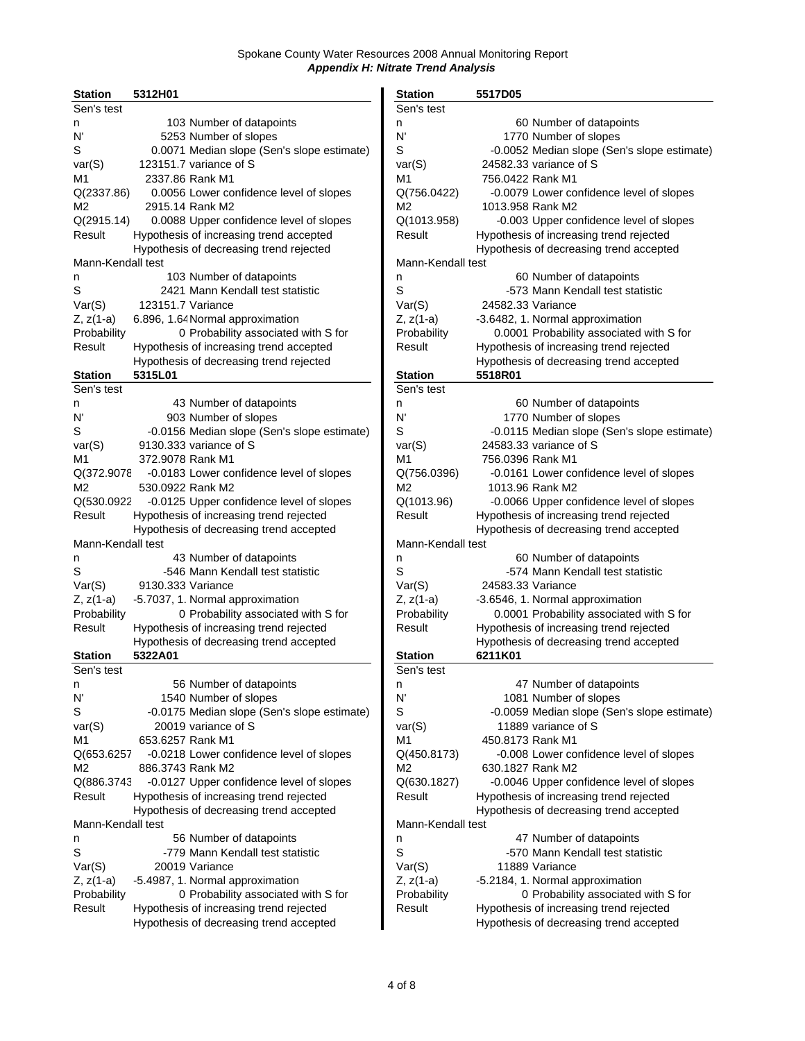| <b>Station</b>    | 5312H01           |                                             | <b>Station</b>           | 5517D05                |                                          |
|-------------------|-------------------|---------------------------------------------|--------------------------|------------------------|------------------------------------------|
| Sen's test        |                   |                                             | Sen's test               |                        |                                          |
| n                 |                   | 103 Number of datapoints                    | n                        |                        | 60 Number of datapoints                  |
| N'                |                   | 5253 Number of slopes                       | N'                       |                        | 1770 Number of slopes                    |
| S                 |                   | 0.0071 Median slope (Sen's slope estimate)  | S                        |                        | -0.0052 Median slope (Sen's slope estim  |
| var(S)            |                   | 123151.7 variance of S                      | var(S)                   | 24582.33 variance of S |                                          |
| M1                |                   | 2337.86 Rank M1                             | M1                       | 756.0422 Rank M1       |                                          |
| Q(2337.86)        |                   | 0.0056 Lower confidence level of slopes     | Q(756.0422)              |                        | -0.0079 Lower confidence level of slopes |
| M <sub>2</sub>    |                   | 2915.14 Rank M2                             | M2                       | 1013.958 Rank M2       |                                          |
| Q(2915.14)        |                   | 0.0088 Upper confidence level of slopes     | Q(1013.958)              |                        | -0.003 Upper confidence level of slopes  |
| Result            |                   | Hypothesis of increasing trend accepted     | Result                   |                        | Hypothesis of increasing trend rejected  |
|                   |                   | Hypothesis of decreasing trend rejected     |                          |                        | Hypothesis of decreasing trend accepted  |
| Mann-Kendall test |                   |                                             | Mann-Kendall test        |                        |                                          |
|                   |                   | 103 Number of datapoints                    | n                        |                        | 60 Number of datapoints                  |
| n<br>S            |                   | 2421 Mann Kendall test statistic            | S                        |                        | -573 Mann Kendall test statistic         |
|                   |                   |                                             |                          |                        |                                          |
| Var(S)            | 123151.7 Variance |                                             | Var(S)                   | 24582.33 Variance      |                                          |
| Z, z(1-a)         |                   | 6.896, 1.64 Normal approximation            | Z, z(1-a)<br>Probability |                        | -3.6482, 1. Normal approximation         |
| Probability       |                   | 0 Probability associated with S for         |                          |                        | 0.0001 Probability associated with S for |
| Result            |                   | Hypothesis of increasing trend accepted     | Result                   |                        | Hypothesis of increasing trend rejected  |
|                   |                   | Hypothesis of decreasing trend rejected     |                          |                        | Hypothesis of decreasing trend accepted  |
| <b>Station</b>    | 5315L01           |                                             | <b>Station</b>           | 5518R01                |                                          |
| Sen's test        |                   |                                             | Sen's test               |                        |                                          |
| n                 |                   | 43 Number of datapoints                     | n                        |                        | 60 Number of datapoints                  |
| N'                |                   | 903 Number of slopes                        | N'                       |                        | 1770 Number of slopes                    |
| S                 |                   | -0.0156 Median slope (Sen's slope estimate) | S                        |                        | -0.0115 Median slope (Sen's slope estim  |
| var(S)            |                   | 9130.333 variance of S                      | var(S)                   | 24583.33 variance of S |                                          |
| M <sub>1</sub>    | 372.9078 Rank M1  |                                             | M1                       | 756.0396 Rank M1       |                                          |
| Q(372.9078        |                   | -0.0183 Lower confidence level of slopes    | Q(756.0396)              |                        | -0.0161 Lower confidence level of slopes |
| M <sub>2</sub>    | 530.0922 Rank M2  |                                             | M2                       | 1013.96 Rank M2        |                                          |
| Q(530.0922        |                   | -0.0125 Upper confidence level of slopes    | Q(1013.96)               |                        | -0.0066 Upper confidence level of slopes |
| Result            |                   | Hypothesis of increasing trend rejected     | Result                   |                        | Hypothesis of increasing trend rejected  |
|                   |                   | Hypothesis of decreasing trend accepted     |                          |                        | Hypothesis of decreasing trend accepted  |
| Mann-Kendall test |                   |                                             | Mann-Kendall test        |                        |                                          |
| n                 |                   | 43 Number of datapoints                     | n                        |                        | 60 Number of datapoints                  |
| S                 |                   | -546 Mann Kendall test statistic            | S                        |                        | -574 Mann Kendall test statistic         |
| Var(S)            | 9130.333 Variance |                                             | Var(S)                   | 24583.33 Variance      |                                          |
| Z, z(1-a)         |                   | -5.7037, 1. Normal approximation            | Z, z(1-a)                |                        | -3.6546, 1. Normal approximation         |
| Probability       |                   | 0 Probability associated with S for         | Probability              |                        | 0.0001 Probability associated with S for |
| Result            |                   | Hypothesis of increasing trend rejected     | Result                   |                        | Hypothesis of increasing trend rejected  |
|                   |                   | Hypothesis of decreasing trend accepted     |                          |                        | Hypothesis of decreasing trend accepted  |
| <b>Station</b>    | 5322A01           |                                             | <b>Station</b>           | 6211K01                |                                          |
| Sen's test        |                   |                                             | Sen's test               |                        |                                          |
| n                 |                   | 56 Number of datapoints                     | n                        |                        | 47 Number of datapoints                  |
| N'                |                   | 1540 Number of slopes                       | N'                       |                        | 1081 Number of slopes                    |
| S                 |                   | -0.0175 Median slope (Sen's slope estimate) | S                        |                        | -0.0059 Median slope (Sen's slope estim  |
| var(S)            |                   | 20019 variance of S                         | var(S)                   |                        | 11889 variance of S                      |
| M1                | 653.6257 Rank M1  |                                             | M1                       | 450.8173 Rank M1       |                                          |
| Q(653.6257        |                   | -0.0218 Lower confidence level of slopes    | Q(450.8173)              |                        | -0.008 Lower confidence level of slopes  |
| M2                | 886.3743 Rank M2  |                                             | M2                       | 630.1827 Rank M2       |                                          |
| Q(886.3743        |                   | -0.0127 Upper confidence level of slopes    | Q(630.1827)              |                        | -0.0046 Upper confidence level of slopes |
| Result            |                   | Hypothesis of increasing trend rejected     | Result                   |                        | Hypothesis of increasing trend rejected  |
|                   |                   | Hypothesis of decreasing trend accepted     |                          |                        | Hypothesis of decreasing trend accepted  |
| Mann-Kendall test |                   |                                             | Mann-Kendall test        |                        |                                          |
| n                 |                   | 56 Number of datapoints                     | n                        |                        | 47 Number of datapoints                  |
| S                 |                   | -779 Mann Kendall test statistic            | S                        |                        | -570 Mann Kendall test statistic         |
| Var(S)            |                   | 20019 Variance                              | Var(S)                   | 11889 Variance         |                                          |
| Z, z(1-a)         |                   | -5.4987, 1. Normal approximation            | $Z, z(1-a)$              |                        | -5.2184, 1. Normal approximation         |
| Probability       |                   | 0 Probability associated with S for         | Probability              |                        | 0 Probability associated with S for      |
| Result            |                   | Hypothesis of increasing trend rejected     | Result                   |                        | Hypothesis of increasing trend rejected  |
|                   |                   | Hypothesis of decreasing trend accepted     |                          |                        | Hypothesis of decreasing trend accepted  |
|                   |                   |                                             |                          |                        |                                          |

| <b>Station</b>        | 5312H01                                            | <b>Station</b>               | 5517D05                                     |
|-----------------------|----------------------------------------------------|------------------------------|---------------------------------------------|
| Sen's test            |                                                    | Sen's test                   |                                             |
| n                     | 103 Number of datapoints                           | n                            | 60 Number of datapoints                     |
| N'                    | 5253 Number of slopes                              | N                            | 1770 Number of slopes                       |
| S                     | 0.0071 Median slope (Sen's slope estimate)         | S                            | -0.0052 Median slope (Sen's slope estimate) |
| var(S)                | 123151.7 variance of S                             | var(S)                       | 24582.33 variance of S                      |
| M1                    | 2337.86 Rank M1                                    | M1                           | 756.0422 Rank M1                            |
| Q(2337.86)            | 0.0056 Lower confidence level of slopes            | Q(756.0422)                  | -0.0079 Lower confidence level of slopes    |
| М2                    | 2915.14 Rank M2                                    | M2                           | 1013.958 Rank M2                            |
| Q(2915.14)            | 0.0088 Upper confidence level of slopes            | Q(1013.958)                  | -0.003 Upper confidence level of slopes     |
| Result                | Hypothesis of increasing trend accepted            | Result                       | Hypothesis of increasing trend rejected     |
|                       | Hypothesis of decreasing trend rejected            |                              | Hypothesis of decreasing trend accepted     |
| Mann-Kendall test     |                                                    | Mann-Kendall test            |                                             |
| n                     | 103 Number of datapoints                           | n                            | 60 Number of datapoints                     |
| S                     | 2421 Mann Kendall test statistic                   | S                            | -573 Mann Kendall test statistic            |
| Var(S)                | 123151.7 Variance                                  | Var(S)                       | 24582.33 Variance                           |
| Z, z(1-a)             | 6.896, 1.64 Normal approximation                   | $Z, z(1-a)$                  | -3.6482, 1. Normal approximation            |
| Probability           | 0 Probability associated with S for                | Probability                  | 0.0001 Probability associated with S for    |
| Result                | Hypothesis of increasing trend accepted            | Result                       | Hypothesis of increasing trend rejected     |
|                       | Hypothesis of decreasing trend rejected            |                              | Hypothesis of decreasing trend accepted     |
| <b>Station</b>        | 5315L01                                            | <b>Station</b>               | 5518R01                                     |
| Sen's test            |                                                    | Sen's test                   |                                             |
| n                     | 43 Number of datapoints                            | n                            | 60 Number of datapoints                     |
| N'                    | 903 Number of slopes                               | N'                           | 1770 Number of slopes                       |
| S                     | -0.0156 Median slope (Sen's slope estimate)        | S                            | -0.0115 Median slope (Sen's slope estimate) |
| var(S)                | 9130.333 variance of S                             | var(S)                       | 24583.33 variance of S                      |
| M1                    | 372.9078 Rank M1                                   | M1                           | 756.0396 Rank M1                            |
| Q(372.9078            | -0.0183 Lower confidence level of slopes           | Q(756.0396)                  | -0.0161 Lower confidence level of slopes    |
| М2                    | 530.0922 Rank M2                                   | M2                           | 1013.96 Rank M2                             |
| Q(530.0922            | -0.0125 Upper confidence level of slopes           | Q(1013.96)                   | -0.0066 Upper confidence level of slopes    |
| Result                | Hypothesis of increasing trend rejected            | Result                       | Hypothesis of increasing trend rejected     |
|                       | Hypothesis of decreasing trend accepted            |                              | Hypothesis of decreasing trend accepted     |
| Mann-Kendall test     |                                                    | Mann-Kendall test            |                                             |
| n                     | 43 Number of datapoints                            | n                            | 60 Number of datapoints                     |
| S                     | -546 Mann Kendall test statistic                   | S                            | -574 Mann Kendall test statistic            |
| Var(S)                | 9130.333 Variance                                  | Var(S)                       | 24583.33 Variance                           |
| Z, z(1-a)             | -5.7037, 1. Normal approximation                   | $Z, z(1-a)$                  | -3.6546, 1. Normal approximation            |
| Probability           | 0 Probability associated with S for                | Probability                  | 0.0001 Probability associated with S for    |
| Result                | Hypothesis of increasing trend rejected            | Result                       | Hypothesis of increasing trend rejected     |
|                       | Hypothesis of decreasing trend accepted<br>5322A01 |                              | Hypothesis of decreasing trend accepted     |
| Station<br>Sen's test |                                                    | <b>Station</b><br>Sen's test | 6211K01                                     |
| n                     | 56 Number of datapoints                            | n                            | 47 Number of datapoints                     |
| N'                    | 1540 Number of slopes                              | N'                           | 1081 Number of slopes                       |
| S                     | -0.0175 Median slope (Sen's slope estimate)        | S                            | -0.0059 Median slope (Sen's slope estimate) |
| var(S)                | 20019 variance of S                                | var(S)                       | 11889 variance of S                         |
| M1                    | 653.6257 Rank M1                                   | M1                           | 450.8173 Rank M1                            |
| Q(653.6257            | -0.0218 Lower confidence level of slopes           | Q(450.8173)                  | -0.008 Lower confidence level of slopes     |
| М2                    | 886.3743 Rank M2                                   | M2                           | 630.1827 Rank M2                            |
| Q(886.3743            | -0.0127 Upper confidence level of slopes           | Q(630.1827)                  | -0.0046 Upper confidence level of slopes    |
| Result                | Hypothesis of increasing trend rejected            | Result                       | Hypothesis of increasing trend rejected     |
|                       | Hypothesis of decreasing trend accepted            |                              | Hypothesis of decreasing trend accepted     |
| Mann-Kendall test     |                                                    | Mann-Kendall test            |                                             |
| n                     | 56 Number of datapoints                            | n                            | 47 Number of datapoints                     |
| S                     | -779 Mann Kendall test statistic                   | S                            | -570 Mann Kendall test statistic            |
| Var(S)                | 20019 Variance                                     | Var(S)                       | 11889 Variance                              |
| Z, z(1-a)             | -5.4987, 1. Normal approximation                   | $Z, z(1-a)$                  | -5.2184, 1. Normal approximation            |
| Probability           | 0 Probability associated with S for                | Probability                  | 0 Probability associated with S for         |
| Result                | Hypothesis of increasing trend rejected            | Result                       | Hypothesis of increasing trend rejected     |
|                       | Hypothesis of decreasing trend accepted            |                              | Hypothesis of decreasing trend accepted     |
|                       |                                                    |                              |                                             |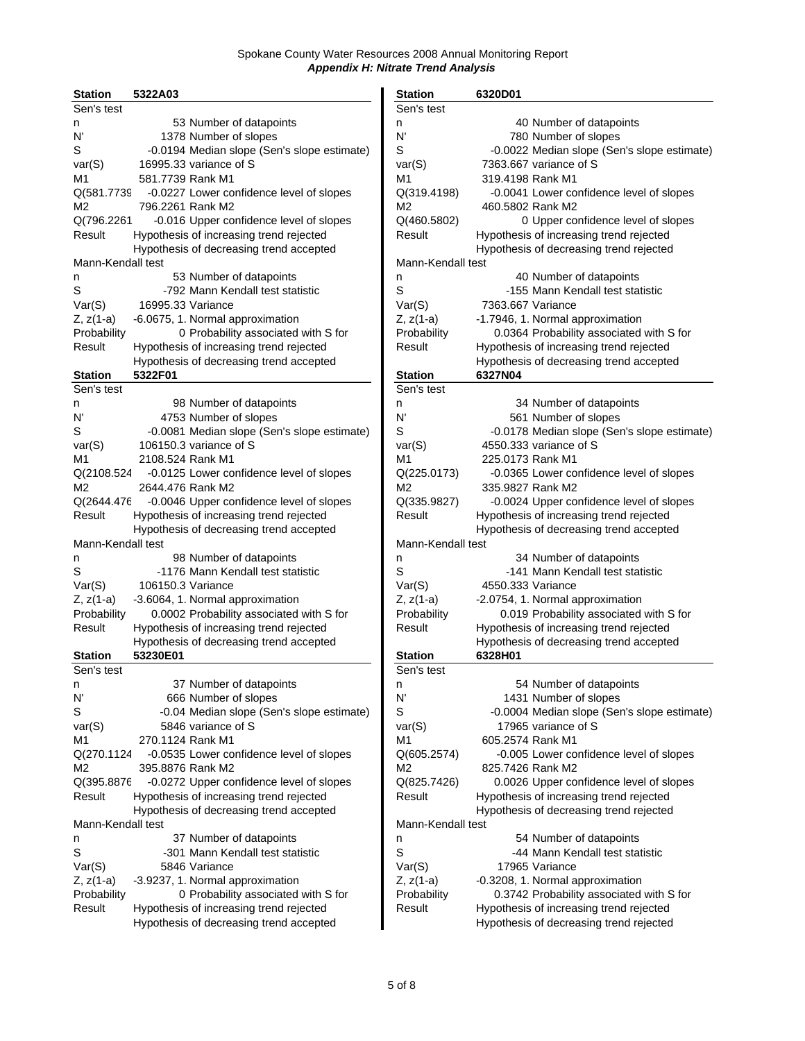| <b>Station</b>    | 5322A03           |                                             | <b>Station</b>    | 6320D01                                  |
|-------------------|-------------------|---------------------------------------------|-------------------|------------------------------------------|
| Sen's test        |                   |                                             | Sen's test        |                                          |
| n                 |                   | 53 Number of datapoints                     | n                 | 40 Number of datapoints                  |
| N'                |                   | 1378 Number of slopes                       | N'                | 780 Number of slopes                     |
| S                 |                   | -0.0194 Median slope (Sen's slope estimate) | S                 | -0.0022 Median slope (Sen's slope estim  |
| var(S)            |                   | 16995.33 variance of S                      | var(S)            | 7363,667 variance of S                   |
| M1                | 581.7739 Rank M1  |                                             | M1                | 319.4198 Rank M1                         |
| Q(581.7739        |                   | -0.0227 Lower confidence level of slopes    | Q(319.4198)       | -0.0041 Lower confidence level of slopes |
| М2                | 796.2261 Rank M2  |                                             | M2                | 460.5802 Rank M2                         |
| Q(796.2261        |                   | -0.016 Upper confidence level of slopes     | Q(460.5802)       | 0 Upper confidence level of slopes       |
| Result            |                   | Hypothesis of increasing trend rejected     | Result            | Hypothesis of increasing trend rejected  |
|                   |                   | Hypothesis of decreasing trend accepted     |                   | Hypothesis of decreasing trend rejected  |
| Mann-Kendall test |                   |                                             | Mann-Kendall test |                                          |
| n                 |                   | 53 Number of datapoints                     | n                 | 40 Number of datapoints                  |
| S                 |                   | -792 Mann Kendall test statistic            | S                 | -155 Mann Kendall test statistic         |
| Var(S)            | 16995.33 Variance |                                             | Var(S)            | 7363.667 Variance                        |
|                   |                   |                                             |                   |                                          |
| Z, z(1-a)         |                   | -6.0675, 1. Normal approximation            | Z, z(1-a)         | -1.7946, 1. Normal approximation         |
| Probability       |                   | 0 Probability associated with S for         | Probability       | 0.0364 Probability associated with S for |
| Result            |                   | Hypothesis of increasing trend rejected     | Result            | Hypothesis of increasing trend rejected  |
|                   |                   | Hypothesis of decreasing trend accepted     |                   | Hypothesis of decreasing trend accepted  |
| <b>Station</b>    | 5322F01           |                                             | <b>Station</b>    | 6327N04                                  |
| Sen's test        |                   |                                             | Sen's test        |                                          |
| n                 |                   | 98 Number of datapoints                     | n                 | 34 Number of datapoints                  |
| N'                |                   | 4753 Number of slopes                       | N                 | 561 Number of slopes                     |
| S                 |                   | -0.0081 Median slope (Sen's slope estimate) | S                 | -0.0178 Median slope (Sen's slope estim  |
| var(S)            |                   | 106150.3 variance of S                      | var(S)            | 4550.333 variance of S                   |
| M1                | 2108.524 Rank M1  |                                             | M1                | 225.0173 Rank M1                         |
| Q(2108.524        |                   | -0.0125 Lower confidence level of slopes    | Q(225.0173)       | -0.0365 Lower confidence level of slopes |
| M <sub>2</sub>    | 2644.476 Rank M2  |                                             | M <sub>2</sub>    | 335.9827 Rank M2                         |
| Q(2644.476        |                   | -0.0046 Upper confidence level of slopes    | Q(335.9827)       | -0.0024 Upper confidence level of slopes |
| Result            |                   | Hypothesis of increasing trend rejected     | Result            | Hypothesis of increasing trend rejected  |
|                   |                   | Hypothesis of decreasing trend accepted     |                   | Hypothesis of decreasing trend accepted  |
| Mann-Kendall test |                   |                                             | Mann-Kendall test |                                          |
| n                 |                   | 98 Number of datapoints                     | n                 | 34 Number of datapoints                  |
| S                 |                   | -1176 Mann Kendall test statistic           | S                 | -141 Mann Kendall test statistic         |
| Var(S)            | 106150.3 Variance |                                             | Var(S)            | 4550.333 Variance                        |
| Z, z(1-a)         |                   | -3.6064, 1. Normal approximation            | Z, z(1-a)         | -2.0754, 1. Normal approximation         |
| Probability       |                   | 0.0002 Probability associated with S for    | Probability       | 0.019 Probability associated with S for  |
| Result            |                   | Hypothesis of increasing trend rejected     | Result            | Hypothesis of increasing trend rejected  |
|                   |                   | Hypothesis of decreasing trend accepted     |                   | Hypothesis of decreasing trend accepted  |
| Station           | 53230E01          |                                             | <b>Station</b>    | 6328H01                                  |
| Sen's test        |                   |                                             | Sen's test        |                                          |
| n                 |                   | 37 Number of datapoints                     | n                 | 54 Number of datapoints                  |
| N'                |                   | 666 Number of slopes                        | N'                | 1431 Number of slopes                    |
| S                 |                   | -0.04 Median slope (Sen's slope estimate)   | S                 | -0.0004 Median slope (Sen's slope estim  |
| var(S)            |                   | 5846 variance of S                          | var(S)            | 17965 variance of S                      |
| M1                | 270.1124 Rank M1  |                                             | M1                | 605.2574 Rank M1                         |
| Q(270.1124        |                   | -0.0535 Lower confidence level of slopes    | Q(605.2574)       | -0.005 Lower confidence level of slopes  |
| M2                | 395.8876 Rank M2  |                                             | M2                | 825.7426 Rank M2                         |
| Q(395.8876        |                   | -0.0272 Upper confidence level of slopes    | Q(825.7426)       | 0.0026 Upper confidence level of slopes  |
| Result            |                   | Hypothesis of increasing trend rejected     | Result            | Hypothesis of increasing trend rejected  |
|                   |                   | Hypothesis of decreasing trend accepted     |                   | Hypothesis of decreasing trend rejected  |
| Mann-Kendall test |                   |                                             | Mann-Kendall test |                                          |
|                   |                   | 37 Number of datapoints                     |                   | 54 Number of datapoints                  |
| n<br>S            |                   | -301 Mann Kendall test statistic            | n<br>S            | -44 Mann Kendall test statistic          |
|                   |                   |                                             |                   |                                          |
| Var(S)            |                   | 5846 Variance                               | Var(S)            | 17965 Variance                           |
| Z, z(1-a)         |                   | -3.9237, 1. Normal approximation            | $Z, z(1-a)$       | -0.3208, 1. Normal approximation         |
| Probability       |                   | 0 Probability associated with S for         | Probability       | 0.3742 Probability associated with S for |
| Result            |                   | Hypothesis of increasing trend rejected     | Result            | Hypothesis of increasing trend rejected  |
|                   |                   | Hypothesis of decreasing trend accepted     |                   | Hypothesis of decreasing trend rejected  |

| <b>Station</b>    | 5322A03                                     | <b>Station</b>    | 6320D01                                     |
|-------------------|---------------------------------------------|-------------------|---------------------------------------------|
| Sen's test        |                                             | Sen's test        |                                             |
| n                 | 53 Number of datapoints                     | n                 | 40 Number of datapoints                     |
| N'                | 1378 Number of slopes                       | N'                | 780 Number of slopes                        |
| S                 | -0.0194 Median slope (Sen's slope estimate) | S                 | -0.0022 Median slope (Sen's slope estimate) |
| var(S)            | 16995.33 variance of S                      | var(S)            | 7363,667 variance of S                      |
| M1                | 581.7739 Rank M1                            | M1                | 319.4198 Rank M1                            |
| Q(581.7739        | -0.0227 Lower confidence level of slopes    | Q(319.4198)       | -0.0041 Lower confidence level of slopes    |
| М2                | 796.2261 Rank M2                            | M2                | 460.5802 Rank M2                            |
| Q(796.2261        | -0.016 Upper confidence level of slopes     | Q(460.5802)       | 0 Upper confidence level of slopes          |
| Result            | Hypothesis of increasing trend rejected     | Result            | Hypothesis of increasing trend rejected     |
|                   |                                             |                   |                                             |
|                   | Hypothesis of decreasing trend accepted     |                   | Hypothesis of decreasing trend rejected     |
| Mann-Kendall test |                                             | Mann-Kendall test |                                             |
| n                 | 53 Number of datapoints                     | n                 | 40 Number of datapoints                     |
| S                 | -792 Mann Kendall test statistic            | S                 | -155 Mann Kendall test statistic            |
| Var(S)            | 16995.33 Variance                           | Var(S)            | 7363.667 Variance                           |
| Z, z(1-a)         | -6.0675, 1. Normal approximation            | $Z, z(1-a)$       | -1.7946, 1. Normal approximation            |
| Probability       | 0 Probability associated with S for         | Probability       | 0.0364 Probability associated with S for    |
| Result            | Hypothesis of increasing trend rejected     | Result            | Hypothesis of increasing trend rejected     |
|                   | Hypothesis of decreasing trend accepted     |                   | Hypothesis of decreasing trend accepted     |
| Station           | 5322F01                                     | <b>Station</b>    | 6327N04                                     |
| Sen's test        |                                             | Sen's test        |                                             |
| n                 | 98 Number of datapoints                     | n                 | 34 Number of datapoints                     |
| N'                | 4753 Number of slopes                       | N'                | 561 Number of slopes                        |
| S                 | -0.0081 Median slope (Sen's slope estimate) | S                 | -0.0178 Median slope (Sen's slope estimate) |
| var(S)            | 106150.3 variance of S                      | var(S)            | 4550.333 variance of S                      |
| M1                | 2108.524 Rank M1                            | M1                | 225.0173 Rank M1                            |
| Q(2108.524        | -0.0125 Lower confidence level of slopes    | Q(225.0173)       | -0.0365 Lower confidence level of slopes    |
| M2                | 2644.476 Rank M2                            | M2                | 335.9827 Rank M2                            |
|                   |                                             |                   |                                             |
| Q(2644.476        | -0.0046 Upper confidence level of slopes    | Q(335.9827)       | -0.0024 Upper confidence level of slopes    |
| Result            | Hypothesis of increasing trend rejected     | Result            | Hypothesis of increasing trend rejected     |
|                   | Hypothesis of decreasing trend accepted     |                   | Hypothesis of decreasing trend accepted     |
| Mann-Kendall test |                                             | Mann-Kendall test |                                             |
| n                 | 98 Number of datapoints                     | n                 | 34 Number of datapoints                     |
| S                 | -1176 Mann Kendall test statistic           | S                 | -141 Mann Kendall test statistic            |
| Var(S)            | 106150.3 Variance                           | Var(S)            | 4550.333 Variance                           |
| Z, z(1-a)         | -3.6064, 1. Normal approximation            | $Z, z(1-a)$       | -2.0754, 1. Normal approximation            |
| Probability       | 0.0002 Probability associated with S for    | Probability       | 0.019 Probability associated with S for     |
| Result            | Hypothesis of increasing trend rejected     | Result            | Hypothesis of increasing trend rejected     |
|                   | Hypothesis of decreasing trend accepted     |                   | Hypothesis of decreasing trend accepted     |
| Station           | 53230E01                                    | <b>Station</b>    | 6328H01                                     |
| Sen's test        |                                             | Sen's test        |                                             |
| n                 | 37 Number of datapoints                     | n                 | 54 Number of datapoints                     |
| N'                | 666 Number of slopes                        | N'                | 1431 Number of slopes                       |
| S                 |                                             | S                 | -0.0004 Median slope (Sen's slope estimate) |
|                   | -0.04 Median slope (Sen's slope estimate)   |                   | 17965 variance of S                         |
| var(S)            | 5846 variance of S                          | var(S)            |                                             |
| M1                | 270.1124 Rank M1                            | M1                | 605.2574 Rank M1                            |
| Q(270.1124        | -0.0535 Lower confidence level of slopes    | Q(605.2574)       | -0.005 Lower confidence level of slopes     |
| М2                | 395.8876 Rank M2                            | M2                | 825.7426 Rank M2                            |
| Q(395.8876        | -0.0272 Upper confidence level of slopes    | Q(825.7426)       | 0.0026 Upper confidence level of slopes     |
| Result            | Hypothesis of increasing trend rejected     | Result            | Hypothesis of increasing trend rejected     |
|                   | Hypothesis of decreasing trend accepted     |                   | Hypothesis of decreasing trend rejected     |
| Mann-Kendall test |                                             | Mann-Kendall test |                                             |
| n                 | 37 Number of datapoints                     | n                 | 54 Number of datapoints                     |
| S                 | -301 Mann Kendall test statistic            | S                 | -44 Mann Kendall test statistic             |
| Var(S)            | 5846 Variance                               | Var(S)            | 17965 Variance                              |
| Z, z(1-a)         | -3.9237, 1. Normal approximation            | $Z, z(1-a)$       | -0.3208, 1. Normal approximation            |
| Probability       | 0 Probability associated with S for         | Probability       | 0.3742 Probability associated with S for    |
| Result            | Hypothesis of increasing trend rejected     | Result            | Hypothesis of increasing trend rejected     |
|                   | Hypothesis of decreasing trend accepted     |                   | Hypothesis of decreasing trend rejected     |
|                   |                                             |                   |                                             |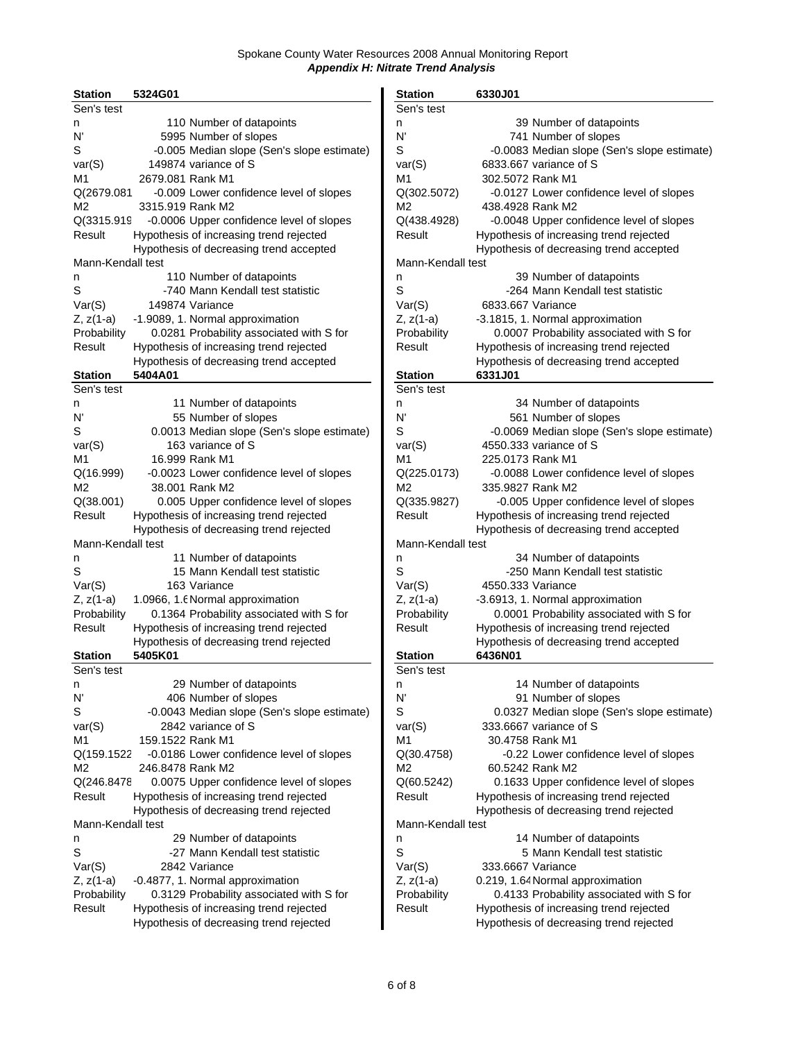| <b>Station</b>    | 5324G01          |                                             | <b>Station</b>    | 6330J01                                  |
|-------------------|------------------|---------------------------------------------|-------------------|------------------------------------------|
| Sen's test        |                  |                                             | Sen's test        |                                          |
| n                 |                  | 110 Number of datapoints                    | n                 | 39 Number of datapoints                  |
| N'                |                  | 5995 Number of slopes                       | N'                | 741 Number of slopes                     |
| S                 |                  | -0.005 Median slope (Sen's slope estimate)  | S                 | -0.0083 Median slope (Sen's slope estin  |
| var(S)            |                  | 149874 variance of S                        | var(S)            | 6833.667 variance of S                   |
| M1                | 2679.081 Rank M1 |                                             | M1                | 302.5072 Rank M1                         |
| Q(2679.081        |                  | -0.009 Lower confidence level of slopes     | Q(302.5072)       | -0.0127 Lower confidence level of slope: |
| M2                | 3315.919 Rank M2 |                                             | M2                | 438.4928 Rank M2                         |
| Q(3315.919        |                  | -0.0006 Upper confidence level of slopes    | Q(438.4928)       | -0.0048 Upper confidence level of slope: |
| Result            |                  | Hypothesis of increasing trend rejected     | Result            | Hypothesis of increasing trend rejected  |
|                   |                  | Hypothesis of decreasing trend accepted     |                   | Hypothesis of decreasing trend accepted  |
| Mann-Kendall test |                  |                                             | Mann-Kendall test |                                          |
| n                 |                  | 110 Number of datapoints                    | n                 | 39 Number of datapoints                  |
| S                 |                  | -740 Mann Kendall test statistic            | $\mathsf S$       | -264 Mann Kendall test statistic         |
|                   |                  | 149874 Variance                             |                   | 6833.667 Variance                        |
| Var(S)            |                  |                                             | Var(S)            |                                          |
| Z, z(1-a)         |                  | -1.9089, 1. Normal approximation            | $Z, z(1-a)$       | -3.1815, 1. Normal approximation         |
| Probability       |                  | 0.0281 Probability associated with S for    | Probability       | 0.0007 Probability associated with S for |
| Result            |                  | Hypothesis of increasing trend rejected     | Result            | Hypothesis of increasing trend rejected  |
|                   |                  | Hypothesis of decreasing trend accepted     |                   | Hypothesis of decreasing trend accepted  |
| <b>Station</b>    | 5404A01          |                                             | <b>Station</b>    | 6331J01                                  |
| Sen's test        |                  |                                             | Sen's test        |                                          |
| n                 |                  | 11 Number of datapoints                     | n                 | 34 Number of datapoints                  |
| N'                |                  | 55 Number of slopes                         | N                 | 561 Number of slopes                     |
| S                 |                  | 0.0013 Median slope (Sen's slope estimate)  | S                 | -0.0069 Median slope (Sen's slope estin  |
| var(S)            |                  | 163 variance of S                           | var(S)            | 4550.333 variance of S                   |
| M1                |                  | 16.999 Rank M1                              | M1                | 225.0173 Rank M1                         |
| Q(16.999)         |                  | -0.0023 Lower confidence level of slopes    | Q(225.0173)       | -0.0088 Lower confidence level of slope: |
| M2                |                  | 38.001 Rank M2                              | M2                | 335.9827 Rank M2                         |
| Q(38.001)         |                  | 0.005 Upper confidence level of slopes      | Q(335.9827)       | -0.005 Upper confidence level of slope:  |
| Result            |                  | Hypothesis of increasing trend rejected     | Result            | Hypothesis of increasing trend rejected  |
|                   |                  | Hypothesis of decreasing trend rejected     |                   | Hypothesis of decreasing trend accepted  |
| Mann-Kendall test |                  |                                             | Mann-Kendall test |                                          |
| n                 |                  | 11 Number of datapoints                     | n                 | 34 Number of datapoints                  |
| S                 |                  | 15 Mann Kendall test statistic              | S                 | -250 Mann Kendall test statistic         |
| Var(S)            |                  | 163 Variance                                | Var(S)            | 4550.333 Variance                        |
| Z, z(1-a)         |                  | 1.0966, 1.6 Normal approximation            | Z, z(1-a)         | -3.6913, 1. Normal approximation         |
| Probability       |                  | 0.1364 Probability associated with S for    | Probability       | 0.0001 Probability associated with S for |
| Result            |                  | Hypothesis of increasing trend rejected     | Result            | Hypothesis of increasing trend rejected  |
|                   |                  | Hypothesis of decreasing trend rejected     |                   | Hypothesis of decreasing trend accepted  |
| <b>Station</b>    | 5405K01          |                                             | <b>Station</b>    | 6436N01                                  |
| Sen's test        |                  |                                             | Sen's test        |                                          |
| n                 |                  | 29 Number of datapoints                     | n                 | 14 Number of datapoints                  |
| N'                |                  | 406 Number of slopes                        | N'                | 91 Number of slopes                      |
| S                 |                  | -0.0043 Median slope (Sen's slope estimate) | S                 | 0.0327 Median slope (Sen's slope estim   |
| var(S)            |                  | 2842 variance of S                          | var(S)            | 333.6667 variance of S                   |
| M1                | 159.1522 Rank M1 |                                             | M1                | 30.4758 Rank M1                          |
|                   |                  |                                             |                   |                                          |
| Q(159.1522        | 246.8478 Rank M2 | -0.0186 Lower confidence level of slopes    | Q(30.4758)        | -0.22 Lower confidence level of slope:   |
| M2                |                  |                                             | M2                | 60.5242 Rank M2                          |
| Q(246.8478        |                  | 0.0075 Upper confidence level of slopes     | Q(60.5242)        | 0.1633 Upper confidence level of slopes  |
| Result            |                  | Hypothesis of increasing trend rejected     | Result            | Hypothesis of increasing trend rejected  |
|                   |                  | Hypothesis of decreasing trend rejected     |                   | Hypothesis of decreasing trend rejected  |
| Mann-Kendall test |                  |                                             | Mann-Kendall test |                                          |
| n                 |                  | 29 Number of datapoints                     | n                 | 14 Number of datapoints                  |
| S                 |                  | -27 Mann Kendall test statistic             | S                 | 5 Mann Kendall test statistic            |
| Var(S)            |                  | 2842 Variance                               | Var(S)            | 333.6667 Variance                        |
| Z, z(1-a)         |                  | -0.4877, 1. Normal approximation            | $Z, z(1-a)$       | 0.219, 1.64 Normal approximation         |
| Probability       |                  | 0.3129 Probability associated with S for    | Probability       | 0.4133 Probability associated with S for |
| Result            |                  | Hypothesis of increasing trend rejected     | Result            | Hypothesis of increasing trend rejected  |
|                   |                  | Hypothesis of decreasing trend rejected     |                   | Hypothesis of decreasing trend rejected  |

| <b>Station</b>    | 5324G01                                     | <b>Station</b>               | 6330J01                                     |
|-------------------|---------------------------------------------|------------------------------|---------------------------------------------|
| Sen's test        |                                             | Sen's test                   |                                             |
| n                 | 110 Number of datapoints                    | n                            | 39 Number of datapoints                     |
| N'                | 5995 Number of slopes                       | N'                           | 741 Number of slopes                        |
| S                 | -0.005 Median slope (Sen's slope estimate)  | S                            | -0.0083 Median slope (Sen's slope estimate) |
| var(S)            | 149874 variance of S                        | var(S)                       | 6833,667 variance of S                      |
| M1                | 2679.081 Rank M1                            | M1                           | 302.5072 Rank M1                            |
| Q(2679.081        | -0.009 Lower confidence level of slopes     | Q(302.5072)                  | -0.0127 Lower confidence level of slopes    |
| М2                | 3315.919 Rank M2                            | M <sub>2</sub>               | 438.4928 Rank M2                            |
| Q(3315.919        | -0.0006 Upper confidence level of slopes    | Q(438.4928)                  | -0.0048 Upper confidence level of slopes    |
| Result            | Hypothesis of increasing trend rejected     | Result                       | Hypothesis of increasing trend rejected     |
|                   | Hypothesis of decreasing trend accepted     |                              | Hypothesis of decreasing trend accepted     |
| Mann-Kendall test |                                             | Mann-Kendall test            |                                             |
| n                 | 110 Number of datapoints                    | n                            | 39 Number of datapoints                     |
| S                 | -740 Mann Kendall test statistic            | S                            | -264 Mann Kendall test statistic            |
| Var(S)            | 149874 Variance                             | Var(S)                       | 6833.667 Variance                           |
| Z, z(1-a)         | -1.9089, 1. Normal approximation            | $Z, z(1-a)$                  | -3.1815, 1. Normal approximation            |
| Probability       | 0.0281 Probability associated with S for    | Probability                  | 0.0007 Probability associated with S for    |
| Result            | Hypothesis of increasing trend rejected     | Result                       | Hypothesis of increasing trend rejected     |
|                   | Hypothesis of decreasing trend accepted     |                              | Hypothesis of decreasing trend accepted     |
| <b>Station</b>    | 5404A01                                     |                              | 6331J01                                     |
| Sen's test        |                                             | <b>Station</b><br>Sen's test |                                             |
|                   |                                             |                              | 34 Number of datapoints                     |
| n                 | 11 Number of datapoints                     | n<br>N'                      |                                             |
| N'                | 55 Number of slopes                         | S                            | 561 Number of slopes                        |
| S                 | 0.0013 Median slope (Sen's slope estimate)  |                              | -0.0069 Median slope (Sen's slope estimate) |
| var(S)            | 163 variance of S                           | var(S)                       | 4550.333 variance of S                      |
| M1                | 16.999 Rank M1                              | M1                           | 225.0173 Rank M1                            |
| Q(16.999)         | -0.0023 Lower confidence level of slopes    | Q(225.0173)                  | -0.0088 Lower confidence level of slopes    |
| М2                | 38.001 Rank M2                              | M <sub>2</sub>               | 335.9827 Rank M2                            |
| Q(38.001)         | 0.005 Upper confidence level of slopes      | Q(335.9827)                  | -0.005 Upper confidence level of slopes     |
| Result            | Hypothesis of increasing trend rejected     | Result                       | Hypothesis of increasing trend rejected     |
|                   | Hypothesis of decreasing trend rejected     |                              | Hypothesis of decreasing trend accepted     |
| Mann-Kendall test |                                             | Mann-Kendall test            |                                             |
| n                 | 11 Number of datapoints                     | n                            | 34 Number of datapoints                     |
| S                 | 15 Mann Kendall test statistic              | S                            | -250 Mann Kendall test statistic            |
| Var(S)            | 163 Variance                                | Var(S)                       | 4550.333 Variance                           |
| Z, z(1-a)         | 1.0966, 1.6 Normal approximation            | $Z, z(1-a)$                  | -3.6913, 1. Normal approximation            |
| Probability       | 0.1364 Probability associated with S for    | Probability                  | 0.0001 Probability associated with S for    |
| Result            | Hypothesis of increasing trend rejected     | Result                       | Hypothesis of increasing trend rejected     |
|                   | Hypothesis of decreasing trend rejected     |                              | Hypothesis of decreasing trend accepted     |
| Station           | 5405K01                                     | <b>Station</b>               | 6436N01                                     |
| Sen's test        |                                             | Sen's test                   |                                             |
| n                 | 29 Number of datapoints                     | n                            | 14 Number of datapoints                     |
| N'                | 406 Number of slopes                        | N'                           | 91 Number of slopes                         |
| S                 | -0.0043 Median slope (Sen's slope estimate) | S                            | 0.0327 Median slope (Sen's slope estimate)  |
| var(S)            | 2842 variance of S                          | var(S)                       | 333.6667 variance of S                      |
| M1                | 159.1522 Rank M1                            | M1                           | 30.4758 Rank M1                             |
| Q(159.1522        | -0.0186 Lower confidence level of slopes    | Q(30.4758)                   | -0.22 Lower confidence level of slopes      |
| М2                | 246.8478 Rank M2                            | M2                           | 60.5242 Rank M2                             |
| Q(246.8478        | 0.0075 Upper confidence level of slopes     | Q(60.5242)                   | 0.1633 Upper confidence level of slopes     |
| Result            | Hypothesis of increasing trend rejected     | Result                       | Hypothesis of increasing trend rejected     |
|                   | Hypothesis of decreasing trend rejected     |                              | Hypothesis of decreasing trend rejected     |
| Mann-Kendall test |                                             | Mann-Kendall test            |                                             |
| n                 | 29 Number of datapoints                     | n                            | 14 Number of datapoints                     |
| S                 | -27 Mann Kendall test statistic             | S                            | 5 Mann Kendall test statistic               |
| Var(S)            | 2842 Variance                               | Var(S)                       | 333.6667 Variance                           |
| Z, z(1-a)         | -0.4877, 1. Normal approximation            | $Z, z(1-a)$                  | 0.219, 1.64 Normal approximation            |
| Probability       | 0.3129 Probability associated with S for    | Probability                  | 0.4133 Probability associated with S for    |
| Result            | Hypothesis of increasing trend rejected     | Result                       | Hypothesis of increasing trend rejected     |
|                   | Hypothesis of decreasing trend rejected     |                              | Hypothesis of decreasing trend rejected     |
|                   |                                             |                              |                                             |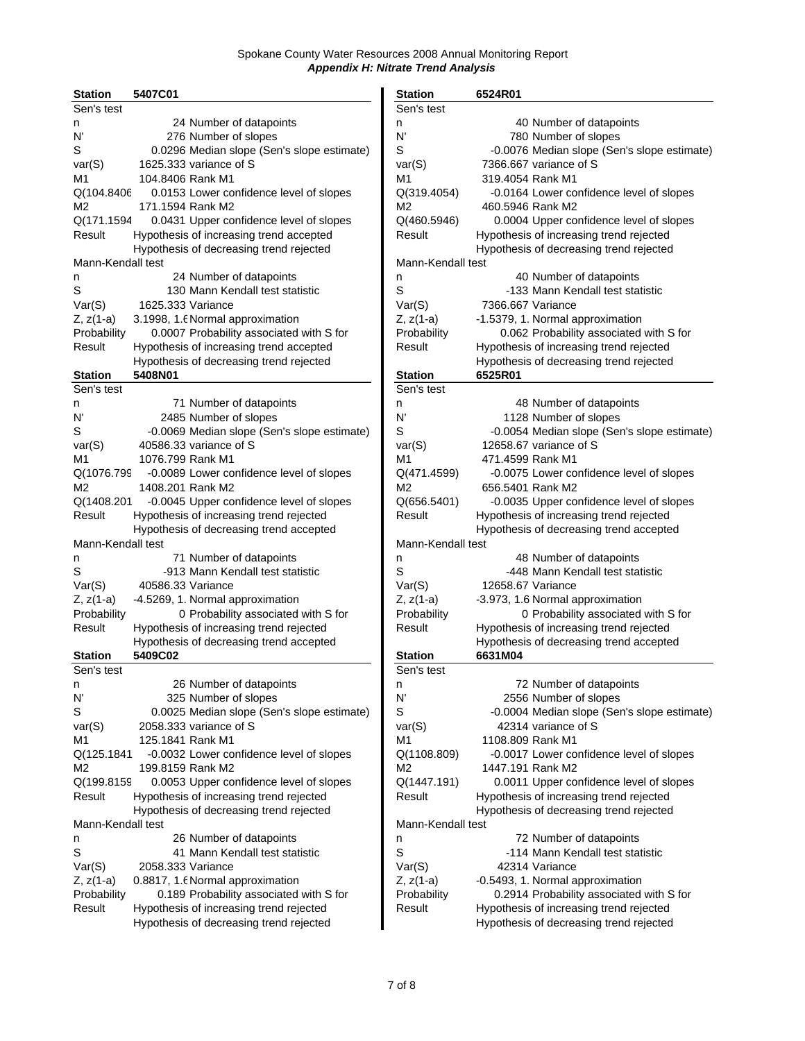| <b>Station</b>    | 5407C01           |                                             | <b>Station</b>    | 6524R01                                  |
|-------------------|-------------------|---------------------------------------------|-------------------|------------------------------------------|
| Sen's test        |                   |                                             | Sen's test        |                                          |
| n                 |                   | 24 Number of datapoints                     | n                 | 40 Number of datapoints                  |
| N'                |                   | 276 Number of slopes                        | N'                | 780 Number of slopes                     |
| S                 |                   | 0.0296 Median slope (Sen's slope estimate)  | S                 | -0.0076 Median slope (Sen's slope estin  |
| var(S)            |                   | 1625.333 variance of S                      | var(S)            | 7366.667 variance of S                   |
| M1                | 104.8406 Rank M1  |                                             | M1                | 319.4054 Rank M1                         |
| Q(104.8406        |                   | 0.0153 Lower confidence level of slopes     | Q(319.4054)       | -0.0164 Lower confidence level of slope: |
| M <sub>2</sub>    | 171.1594 Rank M2  |                                             | М2                | 460.5946 Rank M2                         |
| Q(171.1594        |                   | 0.0431 Upper confidence level of slopes     |                   |                                          |
|                   |                   |                                             | Q(460.5946)       | 0.0004 Upper confidence level of slopes  |
| Result            |                   | Hypothesis of increasing trend accepted     | Result            | Hypothesis of increasing trend rejected  |
|                   |                   | Hypothesis of decreasing trend rejected     |                   | Hypothesis of decreasing trend rejected  |
| Mann-Kendall test |                   |                                             | Mann-Kendall test |                                          |
| n                 |                   | 24 Number of datapoints                     | n                 | 40 Number of datapoints                  |
| S                 |                   | 130 Mann Kendall test statistic             | S                 | -133 Mann Kendall test statistic         |
| Var(S)            | 1625.333 Variance |                                             | Var(S)            | 7366.667 Variance                        |
| Z, z(1-a)         |                   | 3.1998, 1.6 Normal approximation            | Z, z(1-a)         | -1.5379, 1. Normal approximation         |
| Probability       |                   | 0.0007 Probability associated with S for    | Probability       | 0.062 Probability associated with S for  |
| Result            |                   | Hypothesis of increasing trend accepted     | Result            | Hypothesis of increasing trend rejected  |
|                   |                   | Hypothesis of decreasing trend rejected     |                   | Hypothesis of decreasing trend rejected  |
| <b>Station</b>    | 5408N01           |                                             | <b>Station</b>    | 6525R01                                  |
| Sen's test        |                   |                                             | Sen's test        |                                          |
| n                 |                   | 71 Number of datapoints                     | n                 | 48 Number of datapoints                  |
| N'                |                   | 2485 Number of slopes                       | N'                | 1128 Number of slopes                    |
| S                 |                   | -0.0069 Median slope (Sen's slope estimate) | S                 | -0.0054 Median slope (Sen's slope estin  |
| var(S)            |                   | 40586.33 variance of S                      | var(S)            | 12658.67 variance of S                   |
| M1                | 1076.799 Rank M1  |                                             | М1                | 471.4599 Rank M1                         |
| Q(1076.799        |                   |                                             |                   |                                          |
|                   |                   | -0.0089 Lower confidence level of slopes    | Q(471.4599)       | -0.0075 Lower confidence level of slope: |
| М2                | 1408.201 Rank M2  |                                             | М2                | 656.5401 Rank M2                         |
| Q(1408.201        |                   | -0.0045 Upper confidence level of slopes    | Q(656.5401)       | -0.0035 Upper confidence level of slope: |
| Result            |                   | Hypothesis of increasing trend rejected     | Result            | Hypothesis of increasing trend rejected  |
|                   |                   | Hypothesis of decreasing trend accepted     |                   | Hypothesis of decreasing trend accepted  |
| Mann-Kendall test |                   |                                             | Mann-Kendall test |                                          |
| n                 |                   | 71 Number of datapoints                     | n                 | 48 Number of datapoints                  |
| S                 |                   | -913 Mann Kendall test statistic            | S                 | -448 Mann Kendall test statistic         |
| Var(S)            | 40586.33 Variance |                                             | Var(S)            | 12658.67 Variance                        |
| Z, z(1-a)         |                   | -4.5269, 1. Normal approximation            | $Z, z(1-a)$       | -3.973, 1.6 Normal approximation         |
| Probability       |                   | 0 Probability associated with S for         | Probability       | 0 Probability associated with S for      |
| Result            |                   | Hypothesis of increasing trend rejected     | Result            | Hypothesis of increasing trend rejected  |
|                   |                   | Hypothesis of decreasing trend accepted     |                   | Hypothesis of decreasing trend accepted  |
| <b>Station</b>    | 5409C02           |                                             | <b>Station</b>    | 6631M04                                  |
| Sen's test        |                   |                                             | Sen's test        |                                          |
| n                 |                   | 26 Number of datapoints                     | n                 | 72 Number of datapoints                  |
| N'                |                   | 325 Number of slopes                        | N'                | 2556 Number of slopes                    |
| S                 |                   | 0.0025 Median slope (Sen's slope estimate)  | S                 | -0.0004 Median slope (Sen's slope estin  |
|                   |                   | 2058.333 variance of S                      |                   | 42314 variance of S                      |
| var(S)            |                   |                                             | var(S)            | 1108.809 Rank M1                         |
| M1                | 125.1841 Rank M1  |                                             | M1                |                                          |
| Q(125.1841        |                   | -0.0032 Lower confidence level of slopes    | Q(1108.809)       | -0.0017 Lower confidence level of slopes |
| M2                | 199.8159 Rank M2  |                                             | М2                | 1447.191 Rank M2                         |
| Q(199.8159        |                   | 0.0053 Upper confidence level of slopes     | Q(1447.191)       | 0.0011 Upper confidence level of slopes  |
| Result            |                   | Hypothesis of increasing trend rejected     | Result            | Hypothesis of increasing trend rejected  |
|                   |                   | Hypothesis of decreasing trend rejected     |                   | Hypothesis of decreasing trend rejected  |
| Mann-Kendall test |                   |                                             | Mann-Kendall test |                                          |
| n                 |                   | 26 Number of datapoints                     | n                 | 72 Number of datapoints                  |
| S                 |                   | 41 Mann Kendall test statistic              | S                 | -114 Mann Kendall test statistic         |
| Var(S)            | 2058.333 Variance |                                             | Var(S)            | 42314 Variance                           |
| Z, z(1-a)         |                   | 0.8817, 1.6 Normal approximation            | Z, z(1-a)         | -0.5493, 1. Normal approximation         |
| Probability       |                   | 0.189 Probability associated with S for     | Probability       | 0.2914 Probability associated with S for |
| Result            |                   | Hypothesis of increasing trend rejected     | Result            | Hypothesis of increasing trend rejected  |
|                   |                   | Hypothesis of decreasing trend rejected     |                   | Hypothesis of decreasing trend rejected  |
|                   |                   |                                             |                   |                                          |

| Station           | 5407C01                                     | <b>Station</b>    | 6524R01                                     |
|-------------------|---------------------------------------------|-------------------|---------------------------------------------|
| Sen's test        |                                             | Sen's test        |                                             |
| n                 | 24 Number of datapoints                     | n                 | 40 Number of datapoints                     |
| N'                | 276 Number of slopes                        | N'                | 780 Number of slopes                        |
| S                 | 0.0296 Median slope (Sen's slope estimate)  | S                 | -0.0076 Median slope (Sen's slope estimate) |
| var(S)            | 1625.333 variance of S                      | var(S)            | 7366.667 variance of S                      |
| M1                | 104.8406 Rank M1                            | M <sub>1</sub>    | 319.4054 Rank M1                            |
| Q(104.8406        | 0.0153 Lower confidence level of slopes     | Q(319.4054)       | -0.0164 Lower confidence level of slopes    |
| М2                | 171.1594 Rank M2                            | M2                | 460.5946 Rank M2                            |
| Q(171.1594        | 0.0431 Upper confidence level of slopes     | Q(460.5946)       | 0.0004 Upper confidence level of slopes     |
| Result            | Hypothesis of increasing trend accepted     | Result            | Hypothesis of increasing trend rejected     |
|                   |                                             |                   |                                             |
|                   | Hypothesis of decreasing trend rejected     |                   | Hypothesis of decreasing trend rejected     |
| Mann-Kendall test |                                             | Mann-Kendall test |                                             |
| n                 | 24 Number of datapoints                     | n                 | 40 Number of datapoints                     |
| S                 | 130 Mann Kendall test statistic             | S                 | -133 Mann Kendall test statistic            |
| Var(S)            | 1625.333 Variance                           | Var(S)            | 7366.667 Variance                           |
| Z, z(1-a)         | 3.1998, 1.6 Normal approximation            | $Z, z(1-a)$       | -1.5379, 1. Normal approximation            |
| Probability       | 0.0007 Probability associated with S for    | Probability       | 0.062 Probability associated with S for     |
| Result            | Hypothesis of increasing trend accepted     | Result            | Hypothesis of increasing trend rejected     |
|                   | Hypothesis of decreasing trend rejected     |                   | Hypothesis of decreasing trend rejected     |
| <b>Station</b>    | 5408N01                                     | <b>Station</b>    | 6525R01                                     |
| Sen's test        |                                             | Sen's test        |                                             |
| n                 | 71 Number of datapoints                     | n                 | 48 Number of datapoints                     |
| N'                | 2485 Number of slopes                       | N                 | 1128 Number of slopes                       |
| S                 | -0.0069 Median slope (Sen's slope estimate) | S                 | -0.0054 Median slope (Sen's slope estimate) |
| var(S)            | 40586.33 variance of S                      | var(S)            | 12658.67 variance of S                      |
| M1                | 1076.799 Rank M1                            | M1                | 471.4599 Rank M1                            |
| Q(1076.799        |                                             |                   |                                             |
|                   | -0.0089 Lower confidence level of slopes    | Q(471.4599)       | -0.0075 Lower confidence level of slopes    |
| М2                | 1408.201 Rank M2                            | M2                | 656.5401 Rank M2                            |
| Q(1408.201        | -0.0045 Upper confidence level of slopes    | Q(656.5401)       | -0.0035 Upper confidence level of slopes    |
| Result            | Hypothesis of increasing trend rejected     | Result            | Hypothesis of increasing trend rejected     |
|                   | Hypothesis of decreasing trend accepted     |                   | Hypothesis of decreasing trend accepted     |
| Mann-Kendall test |                                             | Mann-Kendall test |                                             |
| n                 | 71 Number of datapoints                     | n                 | 48 Number of datapoints                     |
| S                 | -913 Mann Kendall test statistic            | S                 | -448 Mann Kendall test statistic            |
| Var(S)            | 40586.33 Variance                           | Var(S)            | 12658.67 Variance                           |
| Z, z(1-a)         | -4.5269, 1. Normal approximation            | $Z, z(1-a)$       | -3.973, 1.6 Normal approximation            |
| Probability       | 0 Probability associated with S for         | Probability       | 0 Probability associated with S for         |
| Result            | Hypothesis of increasing trend rejected     | Result            | Hypothesis of increasing trend rejected     |
|                   | Hypothesis of decreasing trend accepted     |                   | Hypothesis of decreasing trend accepted     |
| Station           | 5409C02                                     | <b>Station</b>    | 6631M04                                     |
| Sen's test        |                                             | Sen's test        |                                             |
| n                 | 26 Number of datapoints                     | n                 | 72 Number of datapoints                     |
| N'                | 325 Number of slopes                        | N                 | 2556 Number of slopes                       |
| S                 | 0.0025 Median slope (Sen's slope estimate)  | S                 | -0.0004 Median slope (Sen's slope estimate) |
| var(S)            | 2058.333 variance of S                      | var(S)            | 42314 variance of S                         |
|                   |                                             |                   |                                             |
| M1                | 125.1841 Rank M1                            | M1                | 1108.809 Rank M1                            |
| Q(125.1841        | -0.0032 Lower confidence level of slopes    | Q(1108.809)       | -0.0017 Lower confidence level of slopes    |
| М2                | 199.8159 Rank M2                            | M <sub>2</sub>    | 1447.191 Rank M2                            |
| Q(199.8159        | 0.0053 Upper confidence level of slopes     | Q(1447.191)       | 0.0011 Upper confidence level of slopes     |
| Result            | Hypothesis of increasing trend rejected     | Result            | Hypothesis of increasing trend rejected     |
|                   | Hypothesis of decreasing trend rejected     |                   | Hypothesis of decreasing trend rejected     |
| Mann-Kendall test |                                             | Mann-Kendall test |                                             |
| n                 | 26 Number of datapoints                     | n                 | 72 Number of datapoints                     |
| S                 | 41 Mann Kendall test statistic              | S                 | -114 Mann Kendall test statistic            |
| Var(S)            | 2058.333 Variance                           | Var(S)            | 42314 Variance                              |
| Z, z(1-a)         | 0.8817, 1.6 Normal approximation            | $Z, z(1-a)$       | -0.5493, 1. Normal approximation            |
| Probability       | 0.189 Probability associated with S for     | Probability       | 0.2914 Probability associated with S for    |
| Result            | Hypothesis of increasing trend rejected     | Result            | Hypothesis of increasing trend rejected     |
|                   | Hypothesis of decreasing trend rejected     |                   | Hypothesis of decreasing trend rejected     |
|                   |                                             |                   |                                             |